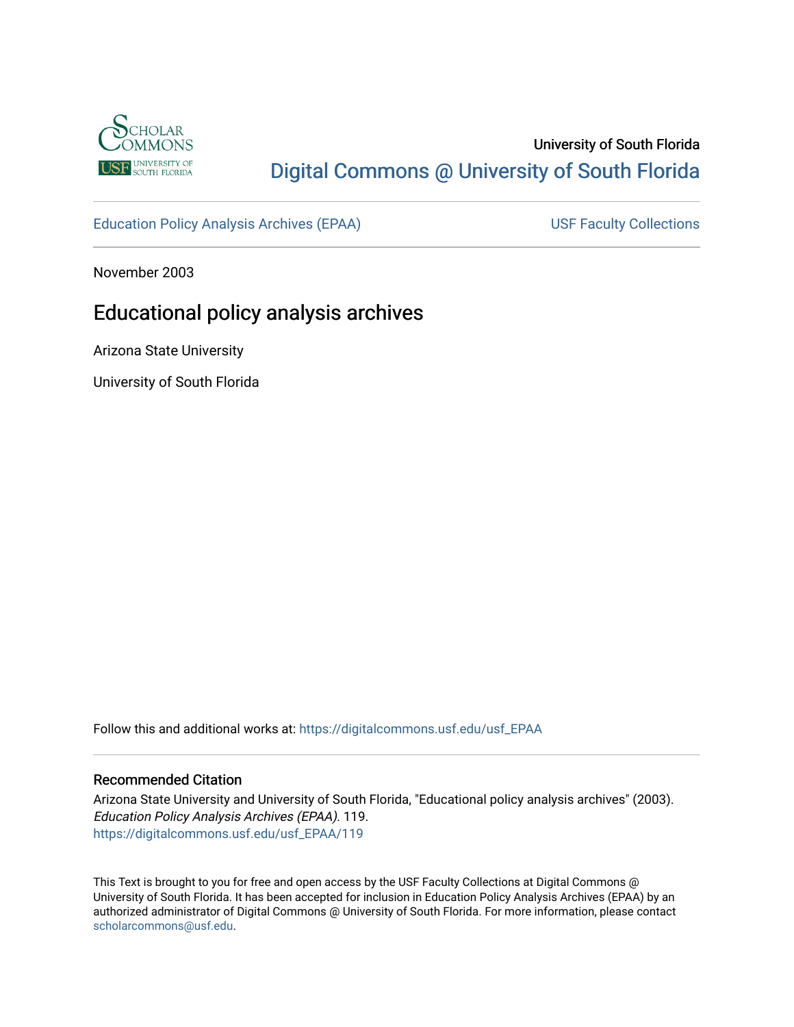

# University of South Florida [Digital Commons @ University of South Florida](https://digitalcommons.usf.edu/)

[Education Policy Analysis Archives \(EPAA\)](https://digitalcommons.usf.edu/usf_EPAA) USF Faculty Collections

November 2003

# Educational policy analysis archives

Arizona State University

University of South Florida

Follow this and additional works at: [https://digitalcommons.usf.edu/usf\\_EPAA](https://digitalcommons.usf.edu/usf_EPAA?utm_source=digitalcommons.usf.edu%2Fusf_EPAA%2F119&utm_medium=PDF&utm_campaign=PDFCoverPages)

#### Recommended Citation

Arizona State University and University of South Florida, "Educational policy analysis archives" (2003). Education Policy Analysis Archives (EPAA). 119. [https://digitalcommons.usf.edu/usf\\_EPAA/119](https://digitalcommons.usf.edu/usf_EPAA/119?utm_source=digitalcommons.usf.edu%2Fusf_EPAA%2F119&utm_medium=PDF&utm_campaign=PDFCoverPages)

This Text is brought to you for free and open access by the USF Faculty Collections at Digital Commons @ University of South Florida. It has been accepted for inclusion in Education Policy Analysis Archives (EPAA) by an authorized administrator of Digital Commons @ University of South Florida. For more information, please contact [scholarcommons@usf.edu.](mailto:scholarcommons@usf.edu)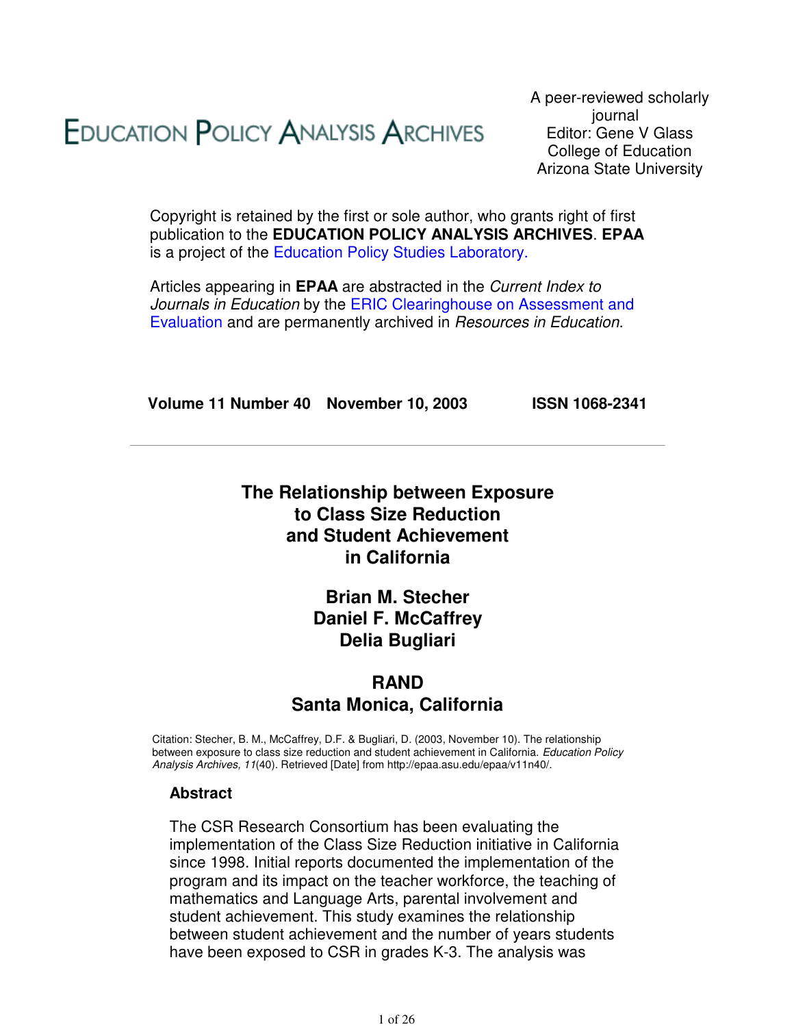# **EDUCATION POLICY ANALYSIS ARCHIVES**

A peer-reviewed scholarly journal Editor: Gene V Glass College of Education Arizona State University

Copyright is retained by the first or sole author, who grants right of first publication to the **EDUCATION POLICY ANALYSIS ARCHIVES**. **EPAA** is a project of the Education Policy Studies Laboratory.

Articles appearing in **EPAA** are abstracted in the Current Index to Journals in Education by the ERIC Clearinghouse on Assessment and Evaluation and are permanently archived in Resources in Education.

**Volume 11 Number 40 November 10, 2003 ISSN 1068-2341**

# **The Relationship between Exposure to Class Size Reduction and Student Achievement in California**

# **Brian M. Stecher Daniel F. McCaffrey Delia Bugliari**

# **RAND Santa Monica, California**

Citation: Stecher, B. M., McCaffrey, D.F. & Bugliari, D. (2003, November 10). The relationship between exposure to class size reduction and student achievement in California. Education Policy Analysis Archives, 11(40). Retrieved [Date] from http://epaa.asu.edu/epaa/v11n40/.

## **Abstract**

The CSR Research Consortium has been evaluating the implementation of the Class Size Reduction initiative in California since 1998. Initial reports documented the implementation of the program and its impact on the teacher workforce, the teaching of mathematics and Language Arts, parental involvement and student achievement. This study examines the relationship between student achievement and the number of years students have been exposed to CSR in grades K-3. The analysis was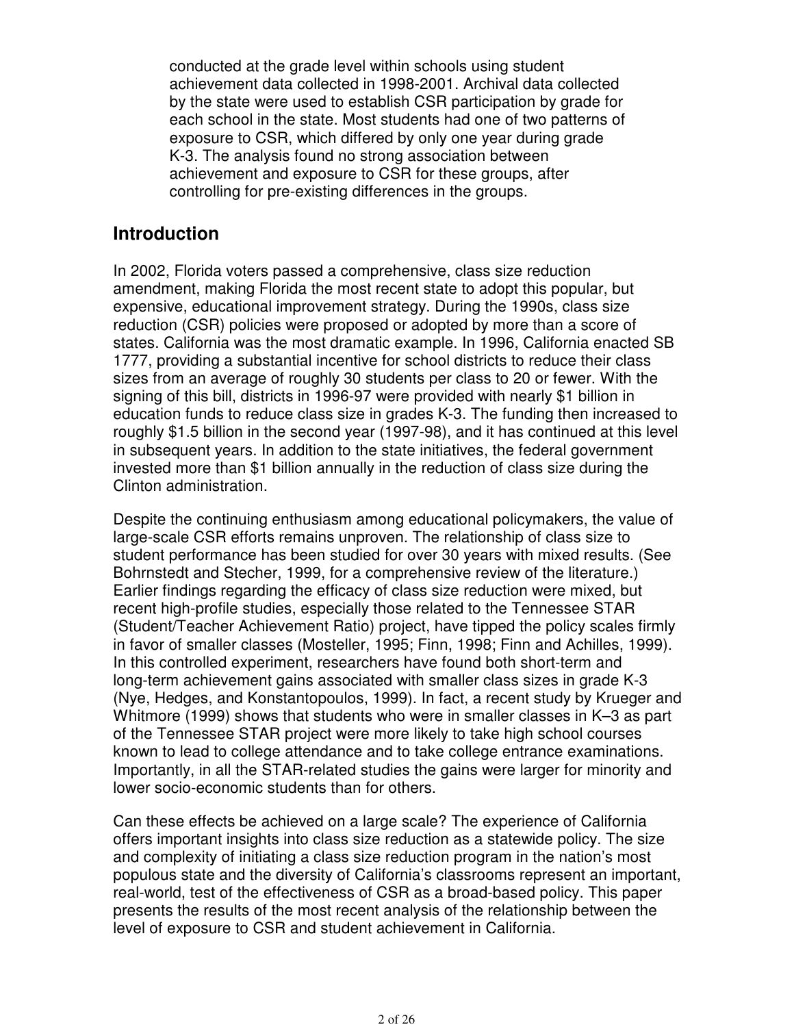conducted at the grade level within schools using student achievement data collected in 1998-2001. Archival data collected by the state were used to establish CSR participation by grade for each school in the state. Most students had one of two patterns of exposure to CSR, which differed by only one year during grade K-3. The analysis found no strong association between achievement and exposure to CSR for these groups, after controlling for pre-existing differences in the groups.

# **Introduction**

In 2002, Florida voters passed a comprehensive, class size reduction amendment, making Florida the most recent state to adopt this popular, but expensive, educational improvement strategy. During the 1990s, class size reduction (CSR) policies were proposed or adopted by more than a score of states. California was the most dramatic example. In 1996, California enacted SB 1777, providing a substantial incentive for school districts to reduce their class sizes from an average of roughly 30 students per class to 20 or fewer. With the signing of this bill, districts in 1996-97 were provided with nearly \$1 billion in education funds to reduce class size in grades K-3. The funding then increased to roughly \$1.5 billion in the second year (1997-98), and it has continued at this level in subsequent years. In addition to the state initiatives, the federal government invested more than \$1 billion annually in the reduction of class size during the Clinton administration.

Despite the continuing enthusiasm among educational policymakers, the value of large-scale CSR efforts remains unproven. The relationship of class size to student performance has been studied for over 30 years with mixed results. (See Bohrnstedt and Stecher, 1999, for a comprehensive review of the literature.) Earlier findings regarding the efficacy of class size reduction were mixed, but recent high-profile studies, especially those related to the Tennessee STAR (Student/Teacher Achievement Ratio) project, have tipped the policy scales firmly in favor of smaller classes (Mosteller, 1995; Finn, 1998; Finn and Achilles, 1999). In this controlled experiment, researchers have found both short-term and long-term achievement gains associated with smaller class sizes in grade K-3 (Nye, Hedges, and Konstantopoulos, 1999). In fact, a recent study by Krueger and Whitmore (1999) shows that students who were in smaller classes in K–3 as part of the Tennessee STAR project were more likely to take high school courses known to lead to college attendance and to take college entrance examinations. Importantly, in all the STAR-related studies the gains were larger for minority and lower socio-economic students than for others.

Can these effects be achieved on a large scale? The experience of California offers important insights into class size reduction as a statewide policy. The size and complexity of initiating a class size reduction program in the nation's most populous state and the diversity of California's classrooms represent an important, real-world, test of the effectiveness of CSR as a broad-based policy. This paper presents the results of the most recent analysis of the relationship between the level of exposure to CSR and student achievement in California.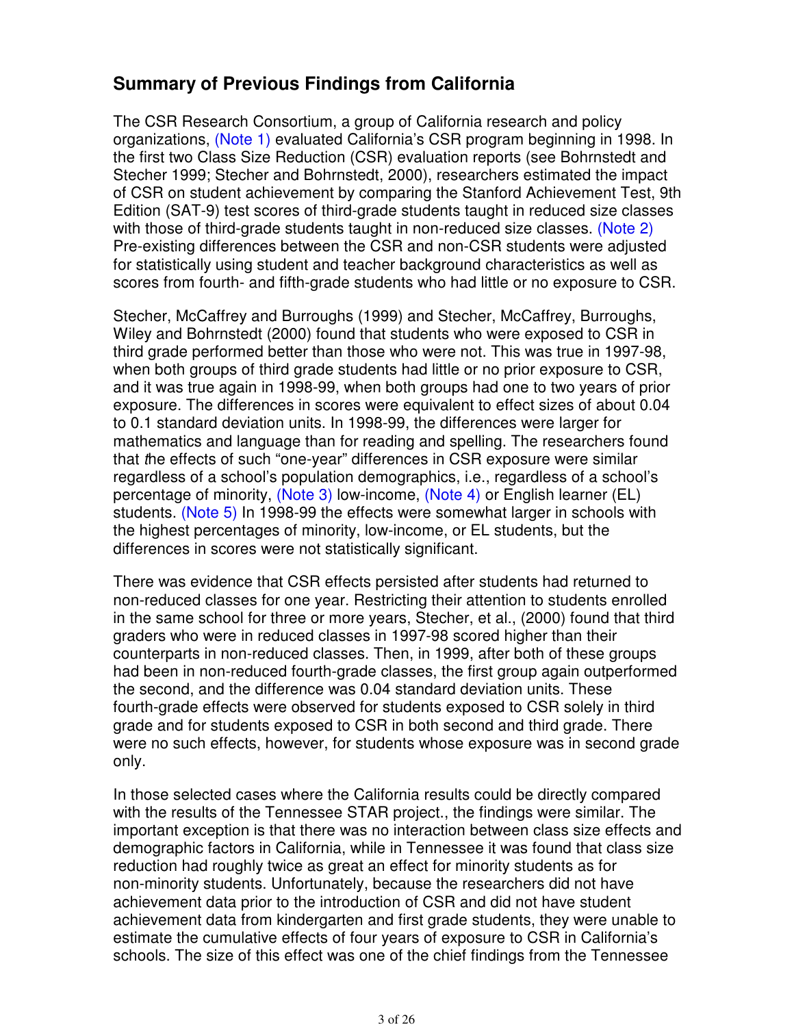# **Summary of Previous Findings from California**

The CSR Research Consortium, a group of California research and policy organizations, (Note 1) evaluated California's CSR program beginning in 1998. In the first two Class Size Reduction (CSR) evaluation reports (see Bohrnstedt and Stecher 1999; Stecher and Bohrnstedt, 2000), researchers estimated the impact of CSR on student achievement by comparing the Stanford Achievement Test, 9th Edition (SAT-9) test scores of third-grade students taught in reduced size classes with those of third-grade students taught in non-reduced size classes. (Note 2) Pre-existing differences between the CSR and non-CSR students were adjusted for statistically using student and teacher background characteristics as well as scores from fourth- and fifth-grade students who had little or no exposure to CSR.

Stecher, McCaffrey and Burroughs (1999) and Stecher, McCaffrey, Burroughs, Wiley and Bohrnstedt (2000) found that students who were exposed to CSR in third grade performed better than those who were not. This was true in 1997-98, when both groups of third grade students had little or no prior exposure to CSR, and it was true again in 1998-99, when both groups had one to two years of prior exposure. The differences in scores were equivalent to effect sizes of about 0.04 to 0.1 standard deviation units. In 1998-99, the differences were larger for mathematics and language than for reading and spelling. The researchers found that the effects of such "one-year" differences in CSR exposure were similar regardless of a school's population demographics, i.e., regardless of a school's percentage of minority, (Note 3) low-income, (Note 4) or English learner (EL) students. (Note 5) In 1998-99 the effects were somewhat larger in schools with the highest percentages of minority, low-income, or EL students, but the differences in scores were not statistically significant.

There was evidence that CSR effects persisted after students had returned to non-reduced classes for one year. Restricting their attention to students enrolled in the same school for three or more years, Stecher, et al., (2000) found that third graders who were in reduced classes in 1997-98 scored higher than their counterparts in non-reduced classes. Then, in 1999, after both of these groups had been in non-reduced fourth-grade classes, the first group again outperformed the second, and the difference was 0.04 standard deviation units. These fourth-grade effects were observed for students exposed to CSR solely in third grade and for students exposed to CSR in both second and third grade. There were no such effects, however, for students whose exposure was in second grade only.

In those selected cases where the California results could be directly compared with the results of the Tennessee STAR project., the findings were similar. The important exception is that there was no interaction between class size effects and demographic factors in California, while in Tennessee it was found that class size reduction had roughly twice as great an effect for minority students as for non-minority students. Unfortunately, because the researchers did not have achievement data prior to the introduction of CSR and did not have student achievement data from kindergarten and first grade students, they were unable to estimate the cumulative effects of four years of exposure to CSR in California's schools. The size of this effect was one of the chief findings from the Tennessee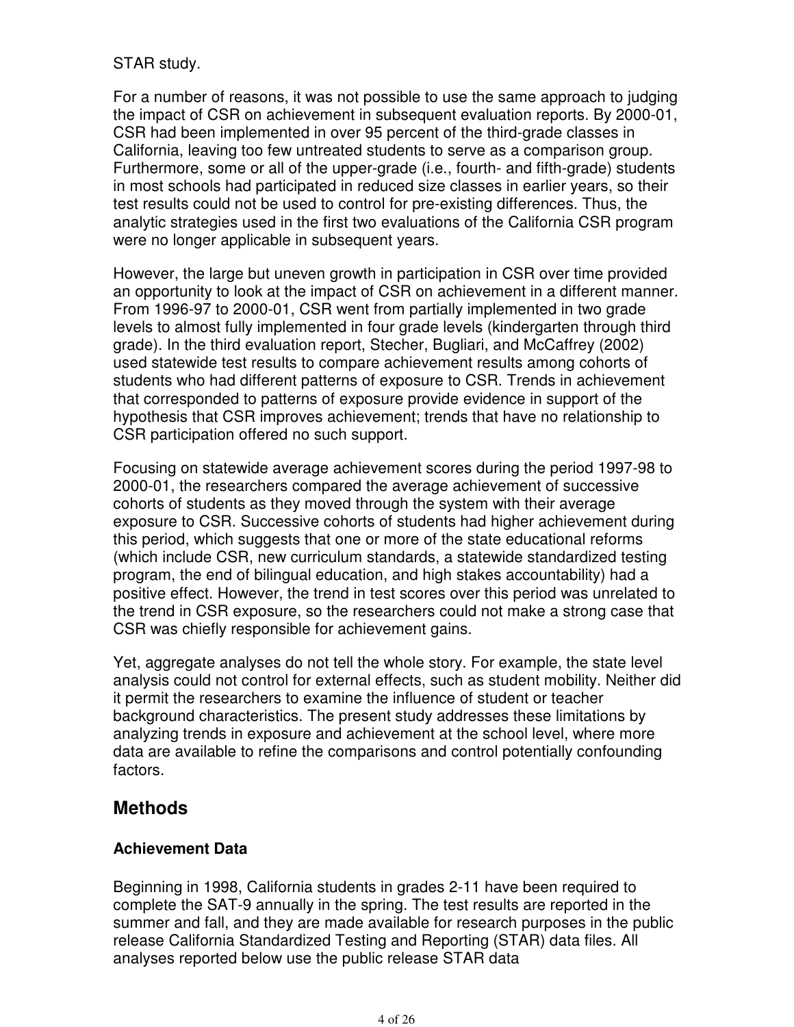## STAR study.

For a number of reasons, it was not possible to use the same approach to judging the impact of CSR on achievement in subsequent evaluation reports. By 2000-01, CSR had been implemented in over 95 percent of the third-grade classes in California, leaving too few untreated students to serve as a comparison group. Furthermore, some or all of the upper-grade (i.e., fourth- and fifth-grade) students in most schools had participated in reduced size classes in earlier years, so their test results could not be used to control for pre-existing differences. Thus, the analytic strategies used in the first two evaluations of the California CSR program were no longer applicable in subsequent years.

However, the large but uneven growth in participation in CSR over time provided an opportunity to look at the impact of CSR on achievement in a different manner. From 1996-97 to 2000-01, CSR went from partially implemented in two grade levels to almost fully implemented in four grade levels (kindergarten through third grade). In the third evaluation report, Stecher, Bugliari, and McCaffrey (2002) used statewide test results to compare achievement results among cohorts of students who had different patterns of exposure to CSR. Trends in achievement that corresponded to patterns of exposure provide evidence in support of the hypothesis that CSR improves achievement; trends that have no relationship to CSR participation offered no such support.

Focusing on statewide average achievement scores during the period 1997-98 to 2000-01, the researchers compared the average achievement of successive cohorts of students as they moved through the system with their average exposure to CSR. Successive cohorts of students had higher achievement during this period, which suggests that one or more of the state educational reforms (which include CSR, new curriculum standards, a statewide standardized testing program, the end of bilingual education, and high stakes accountability) had a positive effect. However, the trend in test scores over this period was unrelated to the trend in CSR exposure, so the researchers could not make a strong case that CSR was chiefly responsible for achievement gains.

Yet, aggregate analyses do not tell the whole story. For example, the state level analysis could not control for external effects, such as student mobility. Neither did it permit the researchers to examine the influence of student or teacher background characteristics. The present study addresses these limitations by analyzing trends in exposure and achievement at the school level, where more data are available to refine the comparisons and control potentially confounding factors.

# **Methods**

## **Achievement Data**

Beginning in 1998, California students in grades 2-11 have been required to complete the SAT-9 annually in the spring. The test results are reported in the summer and fall, and they are made available for research purposes in the public release California Standardized Testing and Reporting (STAR) data files. All analyses reported below use the public release STAR data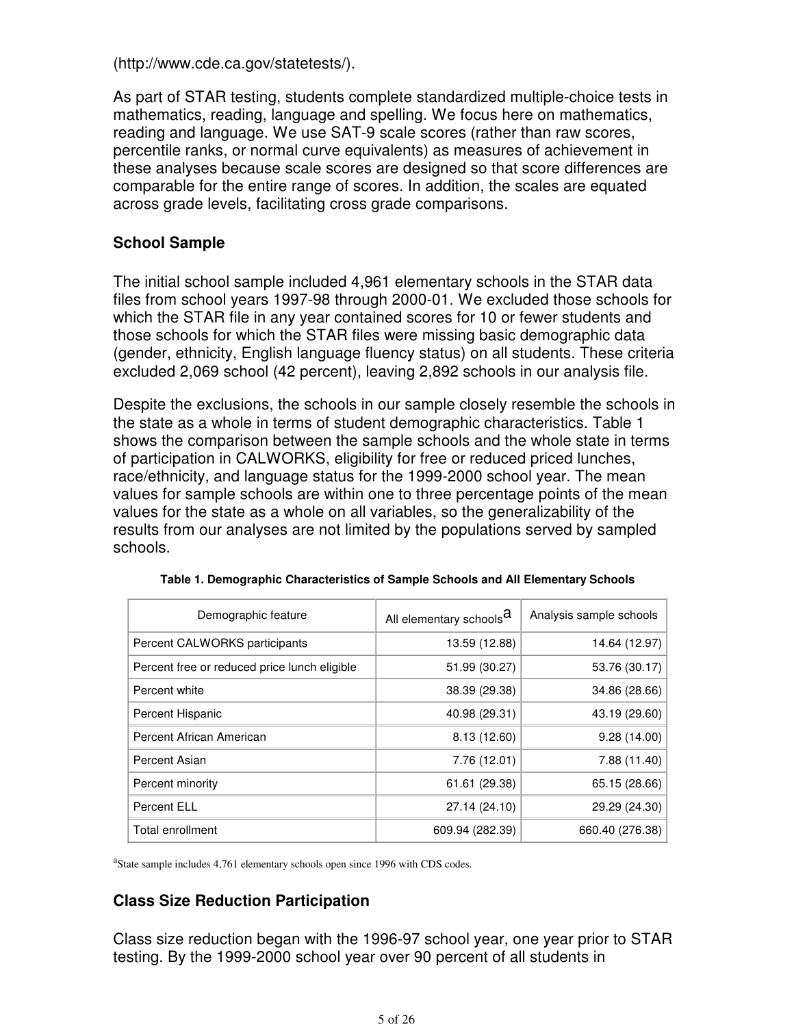(http://www.cde.ca.gov/statetests/).

As part of STAR testing, students complete standardized multiple-choice tests in mathematics, reading, language and spelling. We focus here on mathematics, reading and language. We use SAT-9 scale scores (rather than raw scores, percentile ranks, or normal curve equivalents) as measures of achievement in these analyses because scale scores are designed so that score differences are comparable for the entire range of scores. In addition, the scales are equated across grade levels, facilitating cross grade comparisons.

## **School Sample**

The initial school sample included 4,961 elementary schools in the STAR data files from school years 1997-98 through 2000-01. We excluded those schools for which the STAR file in any year contained scores for 10 or fewer students and those schools for which the STAR files were missing basic demographic data (gender, ethnicity, English language fluency status) on all students. These criteria excluded 2,069 school (42 percent), leaving 2,892 schools in our analysis file.

Despite the exclusions, the schools in our sample closely resemble the schools in the state as a whole in terms of student demographic characteristics. Table 1 shows the comparison between the sample schools and the whole state in terms of participation in CALWORKS, eligibility for free or reduced priced lunches, race/ethnicity, and language status for the 1999-2000 school year. The mean values for sample schools are within one to three percentage points of the mean values for the state as a whole on all variables, so the generalizability of the results from our analyses are not limited by the populations served by sampled schools.

| Demographic feature                          | All elementary schools <sup>d</sup> | Analysis sample schools |
|----------------------------------------------|-------------------------------------|-------------------------|
| Percent CALWORKS participants                | 13.59 (12.88)                       | 14.64 (12.97)           |
| Percent free or reduced price lunch eligible | 51.99 (30.27)                       | 53.76 (30.17)           |
| Percent white                                | 38.39 (29.38)                       | 34.86 (28.66)           |
| Percent Hispanic                             | 40.98 (29.31)                       | 43.19 (29.60)           |
| Percent African American                     | 8.13(12.60)                         | 9.28(14.00)             |
| Percent Asian                                | 7.76(12.01)                         | 7.88 (11.40)            |
| Percent minority                             | 61.61 (29.38)                       | 65.15 (28.66)           |
| <b>Percent ELL</b>                           | 27.14 (24.10)                       | 29.29 (24.30)           |
| Total enrollment                             | 609.94 (282.39)                     | 660.40 (276.38)         |

**Table 1. Demographic Characteristics of Sample Schools and All Elementary Schools**

<sup>a</sup>State sample includes 4,761 elementary schools open since 1996 with CDS codes.

## **Class Size Reduction Participation**

Class size reduction began with the 1996-97 school year, one year prior to STAR testing. By the 1999-2000 school year over 90 percent of all students in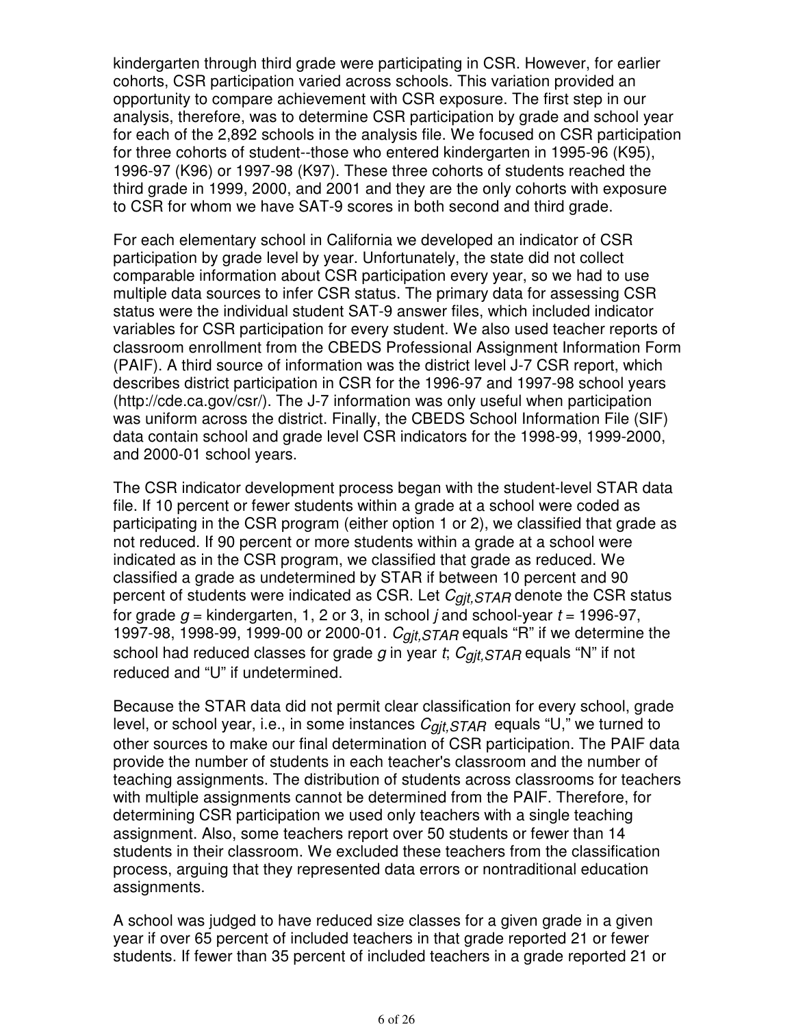kindergarten through third grade were participating in CSR. However, for earlier cohorts, CSR participation varied across schools. This variation provided an opportunity to compare achievement with CSR exposure. The first step in our analysis, therefore, was to determine CSR participation by grade and school year for each of the 2,892 schools in the analysis file. We focused on CSR participation for three cohorts of student--those who entered kindergarten in 1995-96 (K95), 1996-97 (K96) or 1997-98 (K97). These three cohorts of students reached the third grade in 1999, 2000, and 2001 and they are the only cohorts with exposure to CSR for whom we have SAT-9 scores in both second and third grade.

For each elementary school in California we developed an indicator of CSR participation by grade level by year. Unfortunately, the state did not collect comparable information about CSR participation every year, so we had to use multiple data sources to infer CSR status. The primary data for assessing CSR status were the individual student SAT-9 answer files, which included indicator variables for CSR participation for every student. We also used teacher reports of classroom enrollment from the CBEDS Professional Assignment Information Form (PAIF). A third source of information was the district level J-7 CSR report, which describes district participation in CSR for the 1996-97 and 1997-98 school years (http://cde.ca.gov/csr/). The J-7 information was only useful when participation was uniform across the district. Finally, the CBEDS School Information File (SIF) data contain school and grade level CSR indicators for the 1998-99, 1999-2000, and 2000-01 school years.

The CSR indicator development process began with the student-level STAR data file. If 10 percent or fewer students within a grade at a school were coded as participating in the CSR program (either option 1 or 2), we classified that grade as not reduced. If 90 percent or more students within a grade at a school were indicated as in the CSR program, we classified that grade as reduced. We classified a grade as undetermined by STAR if between 10 percent and 90 percent of students were indicated as CSR. Let  $C_{qit,STAR}$  denote the CSR status for grade  $g$  = kindergarten, 1, 2 or 3, in school *j* and school-year  $t = 1996-97$ , 1997-98, 1998-99, 1999-00 or 2000-01.  $C_{qit,STAR}$  equals "R" if we determine the school had reduced classes for grade g in year t;  $C_{\alpha i t,STAR}$  equals "N" if not reduced and "U" if undetermined.

Because the STAR data did not permit clear classification for every school, grade level, or school year, i.e., in some instances  $C_{qit,STAR}$  equals "U," we turned to other sources to make our final determination of CSR participation. The PAIF data provide the number of students in each teacher's classroom and the number of teaching assignments. The distribution of students across classrooms for teachers with multiple assignments cannot be determined from the PAIF. Therefore, for determining CSR participation we used only teachers with a single teaching assignment. Also, some teachers report over 50 students or fewer than 14 students in their classroom. We excluded these teachers from the classification process, arguing that they represented data errors or nontraditional education assignments.

A school was judged to have reduced size classes for a given grade in a given year if over 65 percent of included teachers in that grade reported 21 or fewer students. If fewer than 35 percent of included teachers in a grade reported 21 or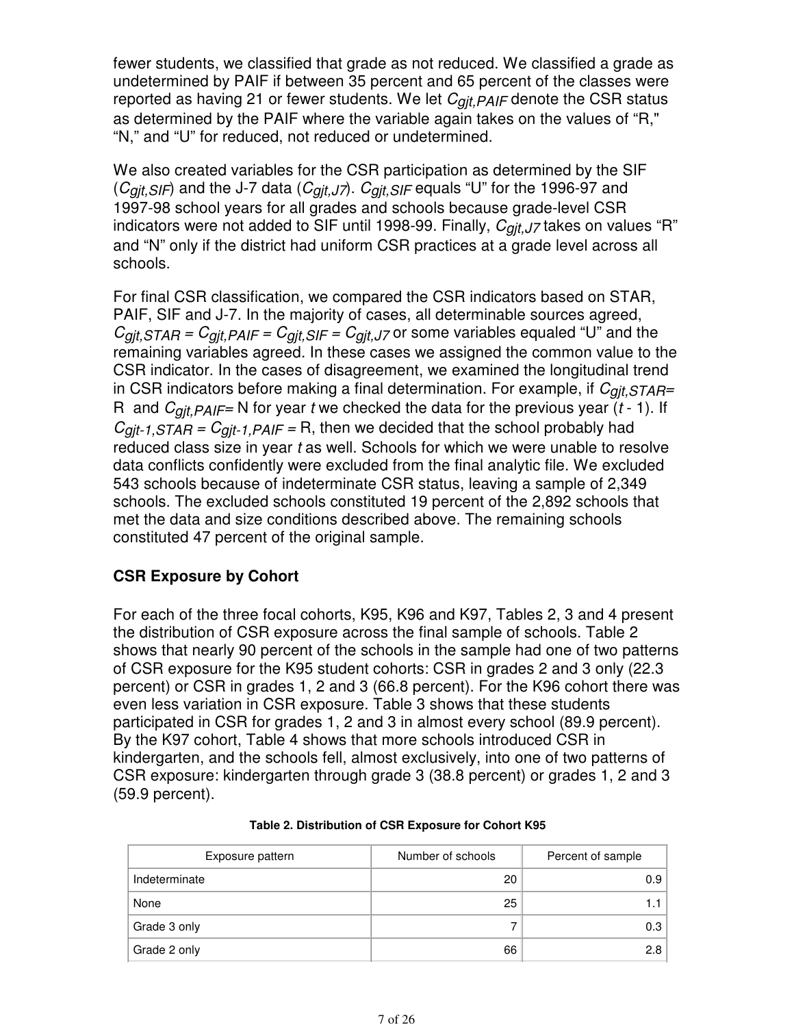fewer students, we classified that grade as not reduced. We classified a grade as undetermined by PAIF if between 35 percent and 65 percent of the classes were reported as having 21 or fewer students. We let  $C_{qit,PA/F}$  denote the CSR status as determined by the PAIF where the variable again takes on the values of "R," "N," and "U" for reduced, not reduced or undetermined.

We also created variables for the CSR participation as determined by the SIF  $(C_{qit,SIF})$  and the J-7 data  $(C_{qit,J7})$ .  $C_{qit,SIF}$  equals "U" for the 1996-97 and 1997-98 school years for all grades and schools because grade-level CSR indicators were not added to SIF until 1998-99. Finally,  $C_{qit,J7}$  takes on values "R" and "N" only if the district had uniform CSR practices at a grade level across all schools.

For final CSR classification, we compared the CSR indicators based on STAR, PAIF, SIF and J-7. In the majority of cases, all determinable sources agreed,  $C_{\text{git,STAR}} = C_{\text{git,PAIF}} = C_{\text{git, SIF}} = C_{\text{git, J7}}$  or some variables equaled "U" and the remaining variables agreed. In these cases we assigned the common value to the CSR indicator. In the cases of disagreement, we examined the longitudinal trend in CSR indicators before making a final determination. For example, if  $C_{gjt,STAR}$ = R and  $C_{qit,PAIF}$  N for year t we checked the data for the previous year (t - 1). If  $C_{gjt-1,STAR} = C_{gjt-1,PAIF} = R$ , then we decided that the school probably had reduced class size in year  $t$  as well. Schools for which we were unable to resolve data conflicts confidently were excluded from the final analytic file. We excluded 543 schools because of indeterminate CSR status, leaving a sample of 2,349 schools. The excluded schools constituted 19 percent of the 2,892 schools that met the data and size conditions described above. The remaining schools constituted 47 percent of the original sample.

## **CSR Exposure by Cohort**

For each of the three focal cohorts, K95, K96 and K97, Tables 2, 3 and 4 present the distribution of CSR exposure across the final sample of schools. Table 2 shows that nearly 90 percent of the schools in the sample had one of two patterns of CSR exposure for the K95 student cohorts: CSR in grades 2 and 3 only (22.3 percent) or CSR in grades 1, 2 and 3 (66.8 percent). For the K96 cohort there was even less variation in CSR exposure. Table 3 shows that these students participated in CSR for grades 1, 2 and 3 in almost every school (89.9 percent). By the K97 cohort, Table 4 shows that more schools introduced CSR in kindergarten, and the schools fell, almost exclusively, into one of two patterns of CSR exposure: kindergarten through grade 3 (38.8 percent) or grades 1, 2 and 3 (59.9 percent).

| Exposure pattern | Number of schools | Percent of sample |
|------------------|-------------------|-------------------|
| Indeterminate    | 20                | 0.9               |
| None             | 25                |                   |
| Grade 3 only     |                   | 0.3               |
| Grade 2 only     | 66                | 2.8               |

#### **Table 2. Distribution of CSR Exposure for Cohort K95**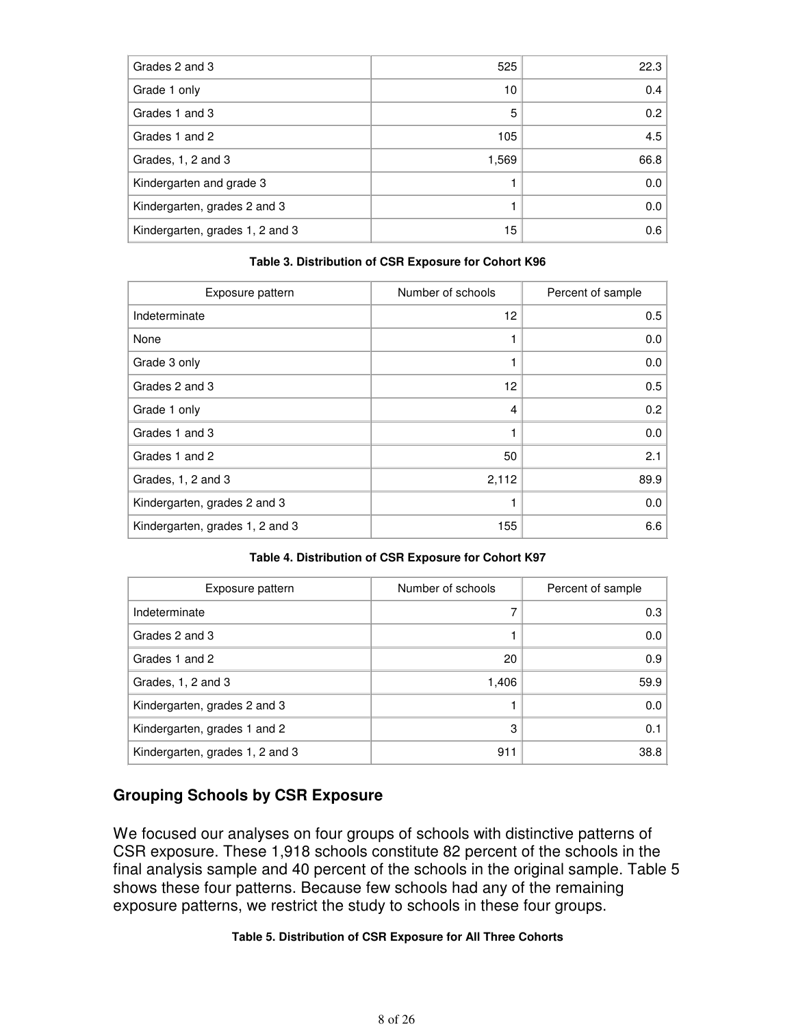| Grades 2 and 3                  | 525   | 22.3 |
|---------------------------------|-------|------|
| Grade 1 only                    | 10    | 0.4  |
| Grades 1 and 3                  | 5     | 0.2  |
| Grades 1 and 2                  | 105   | 4.5  |
| Grades, 1, 2 and 3              | 1,569 | 66.8 |
| Kindergarten and grade 3        |       | 0.0  |
| Kindergarten, grades 2 and 3    |       | 0.0  |
| Kindergarten, grades 1, 2 and 3 | 15    | 0.6  |

#### **Table 3. Distribution of CSR Exposure for Cohort K96**

| Exposure pattern                | Number of schools | Percent of sample |
|---------------------------------|-------------------|-------------------|
| Indeterminate                   | 12                | 0.5               |
| None                            |                   | 0.0               |
| Grade 3 only                    |                   | 0.0               |
| Grades 2 and 3                  | 12                | 0.5               |
| Grade 1 only                    | 4                 | 0.2               |
| Grades 1 and 3                  |                   | 0.0               |
| Grades 1 and 2                  | 50                | 2.1               |
| Grades, 1, 2 and 3              | 2,112             | 89.9              |
| Kindergarten, grades 2 and 3    |                   | 0.0               |
| Kindergarten, grades 1, 2 and 3 | 155               | 6.6               |

#### **Table 4. Distribution of CSR Exposure for Cohort K97**

| Exposure pattern                | Number of schools | Percent of sample |
|---------------------------------|-------------------|-------------------|
| Indeterminate                   |                   | 0.3               |
| Grades 2 and 3                  |                   | 0.0               |
| Grades 1 and 2                  | 20                | 0.9               |
| Grades, 1, 2 and 3              | 1,406             | 59.9              |
| Kindergarten, grades 2 and 3    |                   | 0.0               |
| Kindergarten, grades 1 and 2    | 3                 | 0.1               |
| Kindergarten, grades 1, 2 and 3 | 911               | 38.8              |

## **Grouping Schools by CSR Exposure**

We focused our analyses on four groups of schools with distinctive patterns of CSR exposure. These 1,918 schools constitute 82 percent of the schools in the final analysis sample and 40 percent of the schools in the original sample. Table 5 shows these four patterns. Because few schools had any of the remaining exposure patterns, we restrict the study to schools in these four groups.

#### **Table 5. Distribution of CSR Exposure for All Three Cohorts**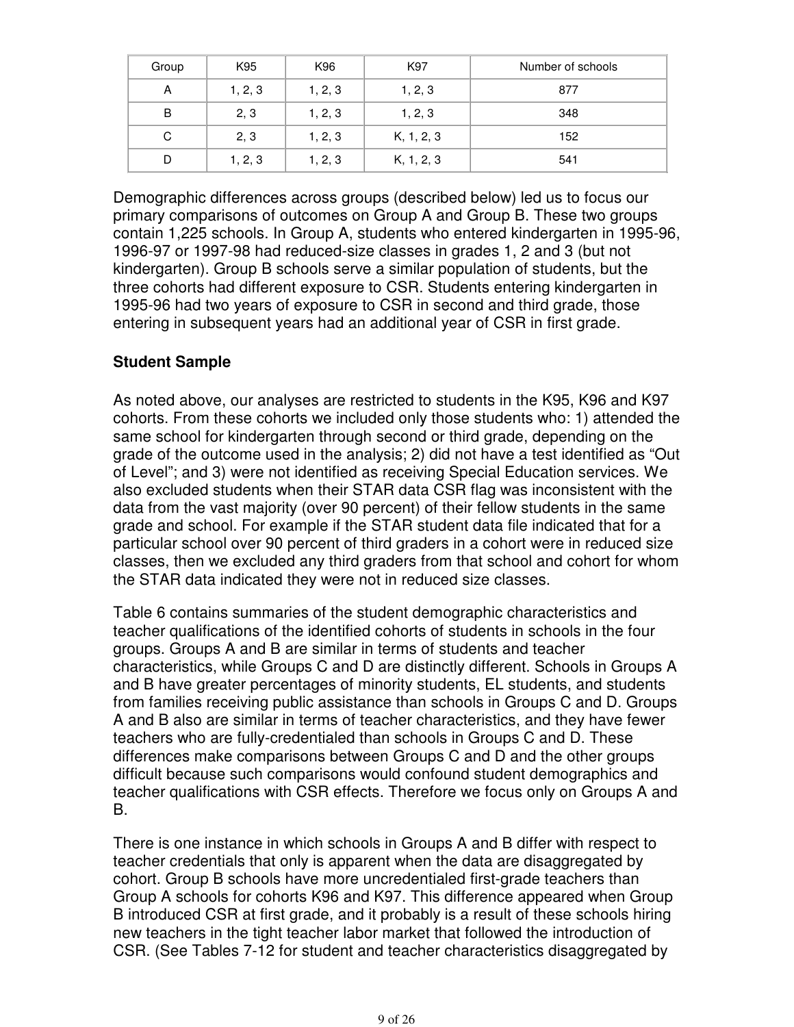| Group | K95     | K96     | K97        | Number of schools |
|-------|---------|---------|------------|-------------------|
| A     | 1, 2, 3 | 1, 2, 3 | 1, 2, 3    | 877               |
| B     | 2, 3    | 1, 2, 3 | 1, 2, 3    | 348               |
| C     | 2, 3    | 1, 2, 3 | K, 1, 2, 3 | 152               |
| D     | 1, 2, 3 | 1, 2, 3 | K, 1, 2, 3 | 541               |

Demographic differences across groups (described below) led us to focus our primary comparisons of outcomes on Group A and Group B. These two groups contain 1,225 schools. In Group A, students who entered kindergarten in 1995-96, 1996-97 or 1997-98 had reduced-size classes in grades 1, 2 and 3 (but not kindergarten). Group B schools serve a similar population of students, but the three cohorts had different exposure to CSR. Students entering kindergarten in 1995-96 had two years of exposure to CSR in second and third grade, those entering in subsequent years had an additional year of CSR in first grade.

## **Student Sample**

As noted above, our analyses are restricted to students in the K95, K96 and K97 cohorts. From these cohorts we included only those students who: 1) attended the same school for kindergarten through second or third grade, depending on the grade of the outcome used in the analysis; 2) did not have a test identified as "Out of Level"; and 3) were not identified as receiving Special Education services. We also excluded students when their STAR data CSR flag was inconsistent with the data from the vast majority (over 90 percent) of their fellow students in the same grade and school. For example if the STAR student data file indicated that for a particular school over 90 percent of third graders in a cohort were in reduced size classes, then we excluded any third graders from that school and cohort for whom the STAR data indicated they were not in reduced size classes.

Table 6 contains summaries of the student demographic characteristics and teacher qualifications of the identified cohorts of students in schools in the four groups. Groups A and B are similar in terms of students and teacher characteristics, while Groups C and D are distinctly different. Schools in Groups A and B have greater percentages of minority students, EL students, and students from families receiving public assistance than schools in Groups C and D. Groups A and B also are similar in terms of teacher characteristics, and they have fewer teachers who are fully-credentialed than schools in Groups C and D. These differences make comparisons between Groups C and D and the other groups difficult because such comparisons would confound student demographics and teacher qualifications with CSR effects. Therefore we focus only on Groups A and B.

There is one instance in which schools in Groups A and B differ with respect to teacher credentials that only is apparent when the data are disaggregated by cohort. Group B schools have more uncredentialed first-grade teachers than Group A schools for cohorts K96 and K97. This difference appeared when Group B introduced CSR at first grade, and it probably is a result of these schools hiring new teachers in the tight teacher labor market that followed the introduction of CSR. (See Tables 7-12 for student and teacher characteristics disaggregated by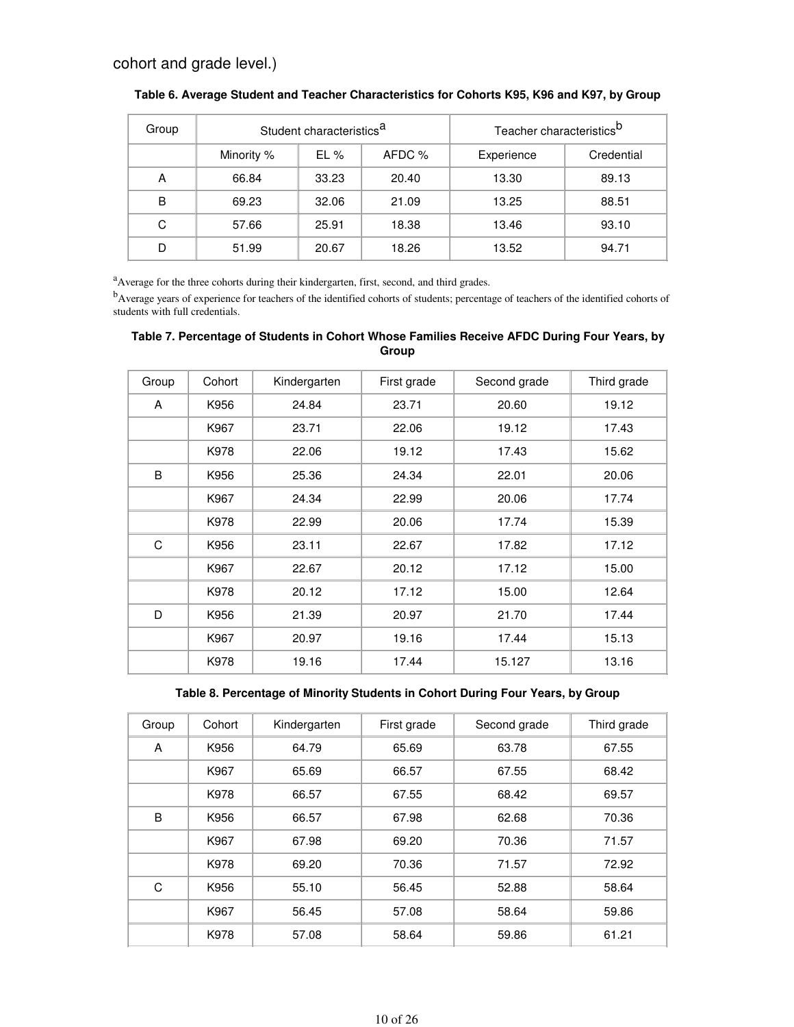| Group |                                 | Student characteristics <sup>a</sup> |            | Teacher characteristics <sup>D</sup> |       |
|-------|---------------------------------|--------------------------------------|------------|--------------------------------------|-------|
|       | AFDC %<br>Minority %<br>$EL \%$ |                                      | Experience | Credential                           |       |
| А     | 66.84                           | 33.23                                | 20.40      | 13.30                                | 89.13 |
| в     | 69.23                           | 32.06                                | 21.09      | 13.25                                | 88.51 |
| С     | 57.66                           | 25.91                                | 18.38      | 13.46                                | 93.10 |
| D     | 51.99                           | 20.67                                | 18.26      | 13.52                                | 94.71 |

| Table 6. Average Student and Teacher Characteristics for Cohorts K95, K96 and K97, by Group |  |  |  |  |  |  |  |  |  |  |  |  |  |  |
|---------------------------------------------------------------------------------------------|--|--|--|--|--|--|--|--|--|--|--|--|--|--|
|---------------------------------------------------------------------------------------------|--|--|--|--|--|--|--|--|--|--|--|--|--|--|

<sup>a</sup>Average for the three cohorts during their kindergarten, first, second, and third grades.

<sup>b</sup>Average years of experience for teachers of the identified cohorts of students; percentage of teachers of the identified cohorts of students with full credentials.

| Table 7. Percentage of Students in Cohort Whose Families Receive AFDC During Four Years, by |  |
|---------------------------------------------------------------------------------------------|--|
| Group                                                                                       |  |

| Group | Cohort | Kindergarten | First grade | Second grade | Third grade |
|-------|--------|--------------|-------------|--------------|-------------|
| A     | K956   | 24.84        | 23.71       | 20.60        | 19.12       |
|       | K967   | 23.71        | 22.06       | 19.12        | 17.43       |
|       | K978   | 22.06        | 19.12       | 17.43        | 15.62       |
| B     | K956   | 25.36        | 24.34       | 22.01        | 20.06       |
|       | K967   | 24.34        | 22.99       | 20.06        | 17.74       |
|       | K978   | 22.99        | 20.06       | 17.74        | 15.39       |
| C     | K956   | 23.11        | 22.67       | 17.82        | 17.12       |
|       | K967   | 22.67        | 20.12       | 17.12        | 15.00       |
|       | K978   | 20.12        | 17.12       | 15.00        | 12.64       |
| D     | K956   | 21.39        | 20.97       | 21.70        | 17.44       |
|       | K967   | 20.97        | 19.16       | 17.44        | 15.13       |
|       | K978   | 19.16        | 17.44       | 15.127       | 13.16       |

#### **Table 8. Percentage of Minority Students in Cohort During Four Years, by Group**

| Group | Cohort | Kindergarten | First grade | Second grade | Third grade |
|-------|--------|--------------|-------------|--------------|-------------|
| A     | K956   | 64.79        | 65.69       | 63.78        | 67.55       |
|       | K967   | 65.69        | 66.57       | 67.55        | 68.42       |
|       | K978   | 66.57        | 67.55       | 68.42        | 69.57       |
| B     | K956   | 66.57        | 67.98       | 62.68        | 70.36       |
|       | K967   | 67.98        | 69.20       | 70.36        | 71.57       |
|       | K978   | 69.20        | 70.36       | 71.57        | 72.92       |
| C     | K956   | 55.10        | 56.45       | 52.88        | 58.64       |
|       | K967   | 56.45        | 57.08       | 58.64        | 59.86       |
|       | K978   | 57.08        | 58.64       | 59.86        | 61.21       |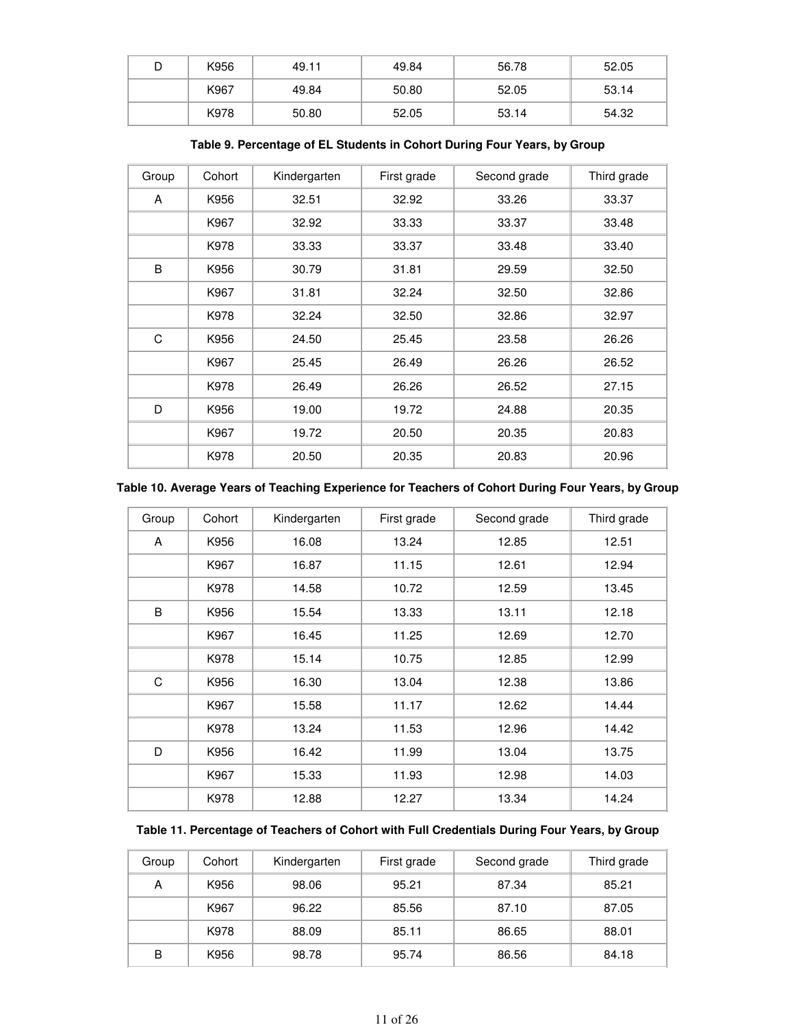| D | K956 | 49.11 | 49.84 | 56.78 | 52.05 |
|---|------|-------|-------|-------|-------|
|   | K967 | 49.84 | 50.80 | 52.05 | 53.14 |
|   | K978 | 50.80 | 52.05 | 53.14 | 54.32 |

| Group | Cohort | Kindergarten | First grade | Second grade | Third grade |
|-------|--------|--------------|-------------|--------------|-------------|
| A     | K956   | 32.51        | 32.92       | 33.26        | 33.37       |
|       | K967   | 32.92        | 33.33       | 33.37        | 33.48       |
|       | K978   | 33.33        | 33.37       | 33.48        | 33.40       |
| B     | K956   | 30.79        | 31.81       | 29.59        | 32.50       |
|       | K967   | 31.81        | 32.24       | 32.50        | 32.86       |
|       | K978   | 32.24        | 32.50       | 32.86        | 32.97       |
| C     | K956   | 24.50        | 25.45       | 23.58        | 26.26       |
|       | K967   | 25.45        | 26.49       | 26.26        | 26.52       |
|       | K978   | 26.49        | 26.26       | 26.52        | 27.15       |
| D     | K956   | 19.00        | 19.72       | 24.88        | 20.35       |
|       | K967   | 19.72        | 20.50       | 20.35        | 20.83       |
|       | K978   | 20.50        | 20.35       | 20.83        | 20.96       |

**Table 9. Percentage of EL Students in Cohort During Four Years, by Group**

| Group | Cohort | Kindergarten | First grade | Second grade | Third grade |
|-------|--------|--------------|-------------|--------------|-------------|
| A     | K956   | 16.08        | 13.24       | 12.85        | 12.51       |
|       | K967   | 16.87        | 11.15       | 12.61        | 12.94       |
|       | K978   | 14.58        | 10.72       | 12.59        | 13.45       |
| B     | K956   | 15.54        | 13.33       | 13.11        | 12.18       |
|       | K967   | 16.45        | 11.25       | 12.69        | 12.70       |
|       | K978   | 15.14        | 10.75       | 12.85        | 12.99       |
| C     | K956   | 16.30        | 13.04       | 12.38        | 13.86       |
|       | K967   | 15.58        | 11.17       | 12.62        | 14.44       |
|       | K978   | 13.24        | 11.53       | 12.96        | 14.42       |
| D     | K956   | 16.42        | 11.99       | 13.04        | 13.75       |
|       | K967   | 15.33        | 11.93       | 12.98        | 14.03       |
|       | K978   | 12.88        | 12.27       | 13.34        | 14.24       |

| Table 11. Percentage of Teachers of Cohort with Full Credentials During Four Years, by Group |  |  |
|----------------------------------------------------------------------------------------------|--|--|
|                                                                                              |  |  |

| Group | Cohort | Kindergarten | First grade | Second grade | Third grade |
|-------|--------|--------------|-------------|--------------|-------------|
| А     | K956   | 98.06        | 95.21       | 87.34        | 85.21       |
|       | K967   | 96.22        | 85.56       | 87.10        | 87.05       |
|       | K978   | 88.09        | 85.11       | 86.65        | 88.01       |
| B     | K956   | 98.78        | 95.74       | 86.56        | 84.18       |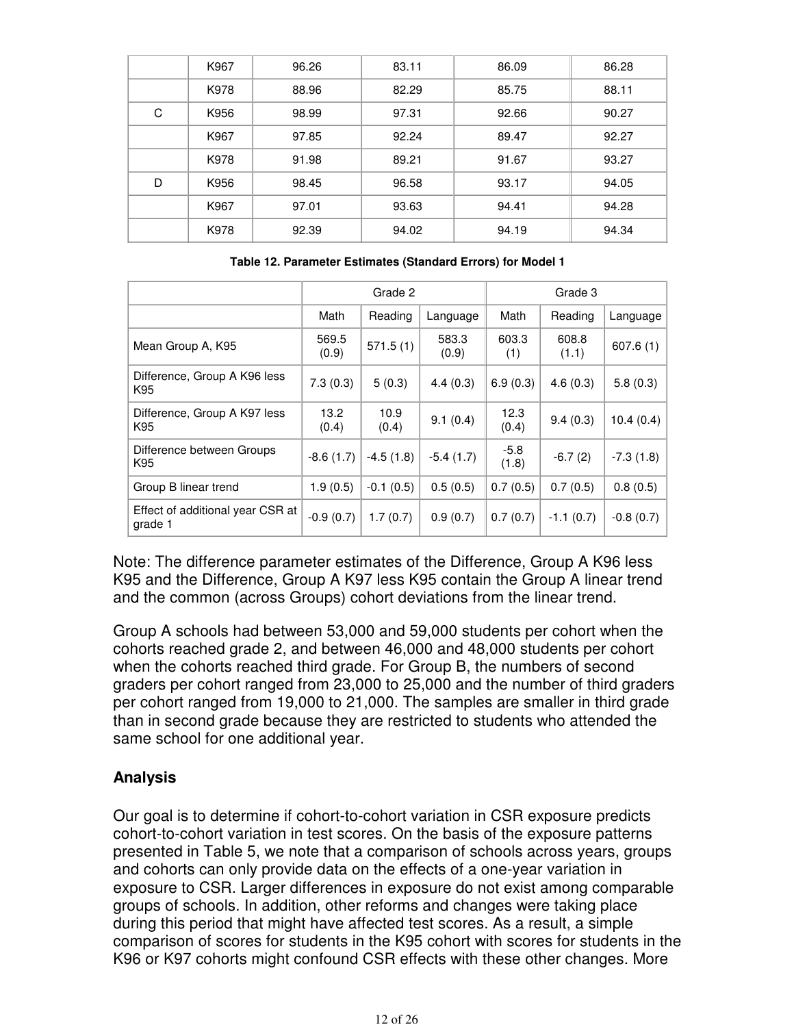|   | K967 | 96.26 | 83.11 | 86.09 | 86.28 |
|---|------|-------|-------|-------|-------|
|   | K978 | 88.96 | 82.29 | 85.75 | 88.11 |
| C | K956 | 98.99 | 97.31 | 92.66 | 90.27 |
|   | K967 | 97.85 | 92.24 | 89.47 | 92.27 |
|   | K978 | 91.98 | 89.21 | 91.67 | 93.27 |
| D | K956 | 98.45 | 96.58 | 93.17 | 94.05 |
|   | K967 | 97.01 | 93.63 | 94.41 | 94.28 |
|   | K978 | 92.39 | 94.02 | 94.19 | 94.34 |

**Table 12. Parameter Estimates (Standard Errors) for Model 1**

|                                             | Grade 2        |               |                | Grade 3         |                |             |
|---------------------------------------------|----------------|---------------|----------------|-----------------|----------------|-------------|
|                                             | Math           | Reading       | Language       | Math            | Reading        | Language    |
| Mean Group A, K95                           | 569.5<br>(0.9) | 571.5(1)      | 583.3<br>(0.9) | 603.3<br>(1)    | 608.8<br>(1.1) | 607.6(1)    |
| Difference, Group A K96 less<br>K95         | 7.3(0.3)       | 5(0.3)        | 4.4(0.3)       | 6.9(0.3)        | 4.6(0.3)       | 5.8(0.3)    |
| Difference, Group A K97 less<br>K95         | 13.2<br>(0.4)  | 10.9<br>(0.4) | 9.1(0.4)       | 12.3<br>(0.4)   | 9.4(0.3)       | 10.4(0.4)   |
| Difference between Groups<br>K95            | $-8.6(1.7)$    | $-4.5(1.8)$   | $-5.4(1.7)$    | $-5.8$<br>(1.8) | $-6.7(2)$      | $-7.3(1.8)$ |
| Group B linear trend                        | 1.9(0.5)       | $-0.1(0.5)$   | 0.5(0.5)       | 0.7(0.5)        | 0.7(0.5)       | 0.8(0.5)    |
| Effect of additional year CSR at<br>grade 1 | $-0.9(0.7)$    | 1.7(0.7)      | 0.9(0.7)       | 0.7(0.7)        | $-1.1(0.7)$    | $-0.8(0.7)$ |

Note: The difference parameter estimates of the Difference, Group A K96 less K95 and the Difference, Group A K97 less K95 contain the Group A linear trend and the common (across Groups) cohort deviations from the linear trend.

Group A schools had between 53,000 and 59,000 students per cohort when the cohorts reached grade 2, and between 46,000 and 48,000 students per cohort when the cohorts reached third grade. For Group B, the numbers of second graders per cohort ranged from 23,000 to 25,000 and the number of third graders per cohort ranged from 19,000 to 21,000. The samples are smaller in third grade than in second grade because they are restricted to students who attended the same school for one additional year.

## **Analysis**

Our goal is to determine if cohort-to-cohort variation in CSR exposure predicts cohort-to-cohort variation in test scores. On the basis of the exposure patterns presented in Table 5, we note that a comparison of schools across years, groups and cohorts can only provide data on the effects of a one-year variation in exposure to CSR. Larger differences in exposure do not exist among comparable groups of schools. In addition, other reforms and changes were taking place during this period that might have affected test scores. As a result, a simple comparison of scores for students in the K95 cohort with scores for students in the K96 or K97 cohorts might confound CSR effects with these other changes. More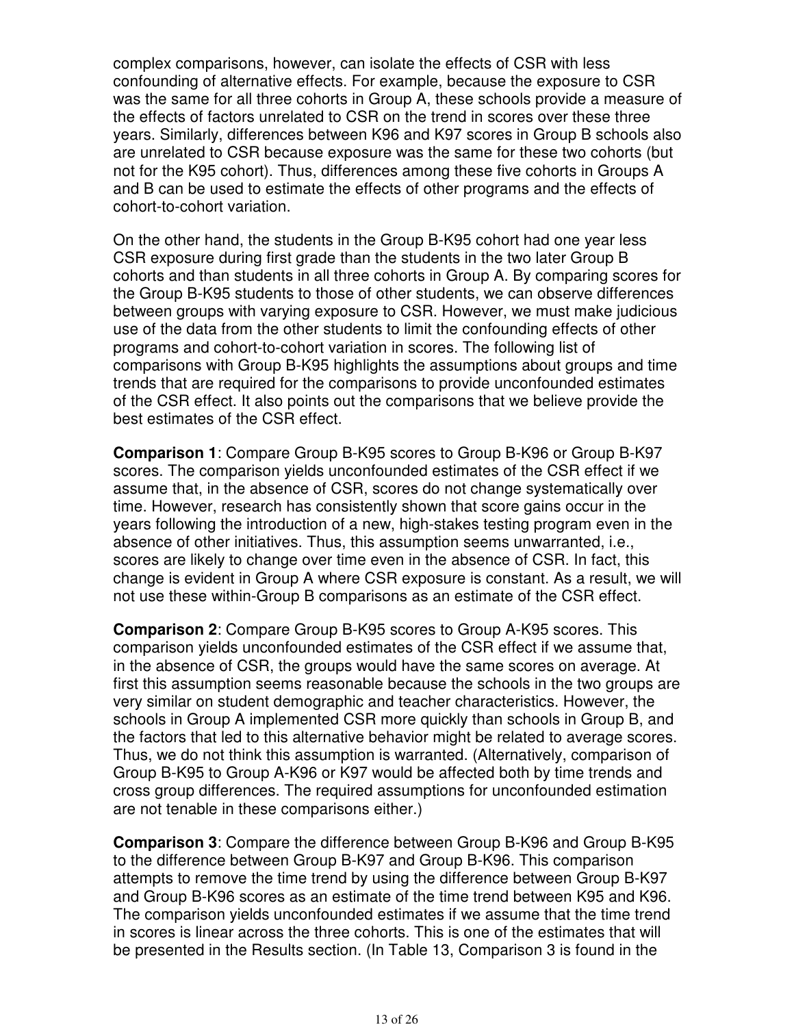complex comparisons, however, can isolate the effects of CSR with less confounding of alternative effects. For example, because the exposure to CSR was the same for all three cohorts in Group A, these schools provide a measure of the effects of factors unrelated to CSR on the trend in scores over these three years. Similarly, differences between K96 and K97 scores in Group B schools also are unrelated to CSR because exposure was the same for these two cohorts (but not for the K95 cohort). Thus, differences among these five cohorts in Groups A and B can be used to estimate the effects of other programs and the effects of cohort-to-cohort variation.

On the other hand, the students in the Group B-K95 cohort had one year less CSR exposure during first grade than the students in the two later Group B cohorts and than students in all three cohorts in Group A. By comparing scores for the Group B-K95 students to those of other students, we can observe differences between groups with varying exposure to CSR. However, we must make judicious use of the data from the other students to limit the confounding effects of other programs and cohort-to-cohort variation in scores. The following list of comparisons with Group B-K95 highlights the assumptions about groups and time trends that are required for the comparisons to provide unconfounded estimates of the CSR effect. It also points out the comparisons that we believe provide the best estimates of the CSR effect.

**Comparison 1**: Compare Group B-K95 scores to Group B-K96 or Group B-K97 scores. The comparison yields unconfounded estimates of the CSR effect if we assume that, in the absence of CSR, scores do not change systematically over time. However, research has consistently shown that score gains occur in the years following the introduction of a new, high-stakes testing program even in the absence of other initiatives. Thus, this assumption seems unwarranted, i.e., scores are likely to change over time even in the absence of CSR. In fact, this change is evident in Group A where CSR exposure is constant. As a result, we will not use these within-Group B comparisons as an estimate of the CSR effect.

**Comparison 2**: Compare Group B-K95 scores to Group A-K95 scores. This comparison yields unconfounded estimates of the CSR effect if we assume that, in the absence of CSR, the groups would have the same scores on average. At first this assumption seems reasonable because the schools in the two groups are very similar on student demographic and teacher characteristics. However, the schools in Group A implemented CSR more quickly than schools in Group B, and the factors that led to this alternative behavior might be related to average scores. Thus, we do not think this assumption is warranted. (Alternatively, comparison of Group B-K95 to Group A-K96 or K97 would be affected both by time trends and cross group differences. The required assumptions for unconfounded estimation are not tenable in these comparisons either.)

**Comparison 3**: Compare the difference between Group B-K96 and Group B-K95 to the difference between Group B-K97 and Group B-K96. This comparison attempts to remove the time trend by using the difference between Group B-K97 and Group B-K96 scores as an estimate of the time trend between K95 and K96. The comparison yields unconfounded estimates if we assume that the time trend in scores is linear across the three cohorts. This is one of the estimates that will be presented in the Results section. (In Table 13, Comparison 3 is found in the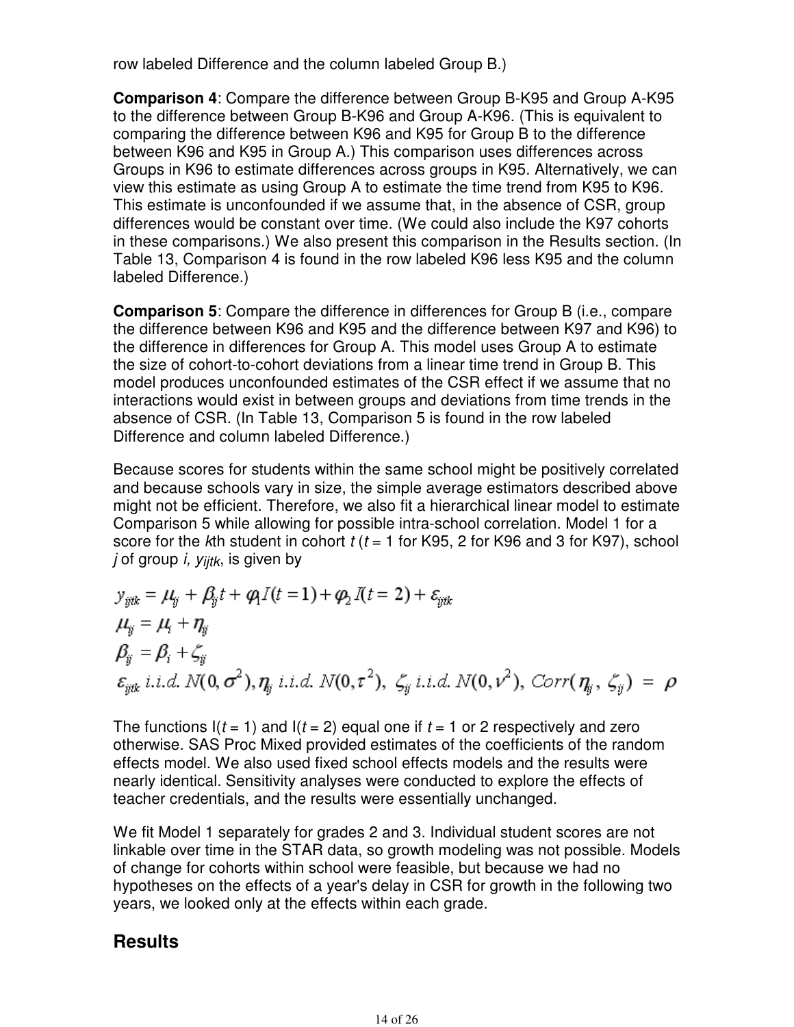row labeled Difference and the column labeled Group B.)

**Comparison 4**: Compare the difference between Group B-K95 and Group A-K95 to the difference between Group B-K96 and Group A-K96. (This is equivalent to comparing the difference between K96 and K95 for Group B to the difference between K96 and K95 in Group A.) This comparison uses differences across Groups in K96 to estimate differences across groups in K95. Alternatively, we can view this estimate as using Group A to estimate the time trend from K95 to K96. This estimate is unconfounded if we assume that, in the absence of CSR, group differences would be constant over time. (We could also include the K97 cohorts in these comparisons.) We also present this comparison in the Results section. (In Table 13, Comparison 4 is found in the row labeled K96 less K95 and the column labeled Difference.)

**Comparison 5**: Compare the difference in differences for Group B (i.e., compare the difference between K96 and K95 and the difference between K97 and K96) to the difference in differences for Group A. This model uses Group A to estimate the size of cohort-to-cohort deviations from a linear time trend in Group B. This model produces unconfounded estimates of the CSR effect if we assume that no interactions would exist in between groups and deviations from time trends in the absence of CSR. (In Table 13, Comparison 5 is found in the row labeled Difference and column labeled Difference.)

Because scores for students within the same school might be positively correlated and because schools vary in size, the simple average estimators described above might not be efficient. Therefore, we also fit a hierarchical linear model to estimate Comparison 5 while allowing for possible intra-school correlation. Model 1 for a score for the kth student in cohort  $t$  ( $t = 1$  for K95, 2 for K96 and 3 for K97), school j of group i,  $y_{i}$ <sub>itk</sub>, is given by

$$
y_{\text{ytk}} = \mu_{\text{y}} + \beta_{\text{y}}t + \varphi_{\text{l}}(t=1) + \varphi_{\text{2}}I(t=2) + \varepsilon_{\text{ytk}}
$$
  
\n
$$
\mu_{\text{y}} = \mu_{\text{l}} + \eta_{\text{y}}
$$
  
\n
$$
\beta_{\text{y}} = \beta_{\text{i}} + \zeta_{\text{y}}
$$
  
\n
$$
\varepsilon_{\text{ytk}} \text{ i.i.d. } N(0, \sigma^2), \eta_{\text{y}} \text{ i.i.d. } N(0, \tau^2), \zeta_{\text{y}} \text{ i.i.d. } N(0, \nu^2), \text{ Corr}(\eta_{\text{y}}, \zeta_{\text{y}}) = \rho
$$

The functions  $I(t = 1)$  and  $I(t = 2)$  equal one if  $t = 1$  or 2 respectively and zero otherwise. SAS Proc Mixed provided estimates of the coefficients of the random effects model. We also used fixed school effects models and the results were nearly identical. Sensitivity analyses were conducted to explore the effects of teacher credentials, and the results were essentially unchanged.

We fit Model 1 separately for grades 2 and 3. Individual student scores are not linkable over time in the STAR data, so growth modeling was not possible. Models of change for cohorts within school were feasible, but because we had no hypotheses on the effects of a year's delay in CSR for growth in the following two years, we looked only at the effects within each grade.

# **Results**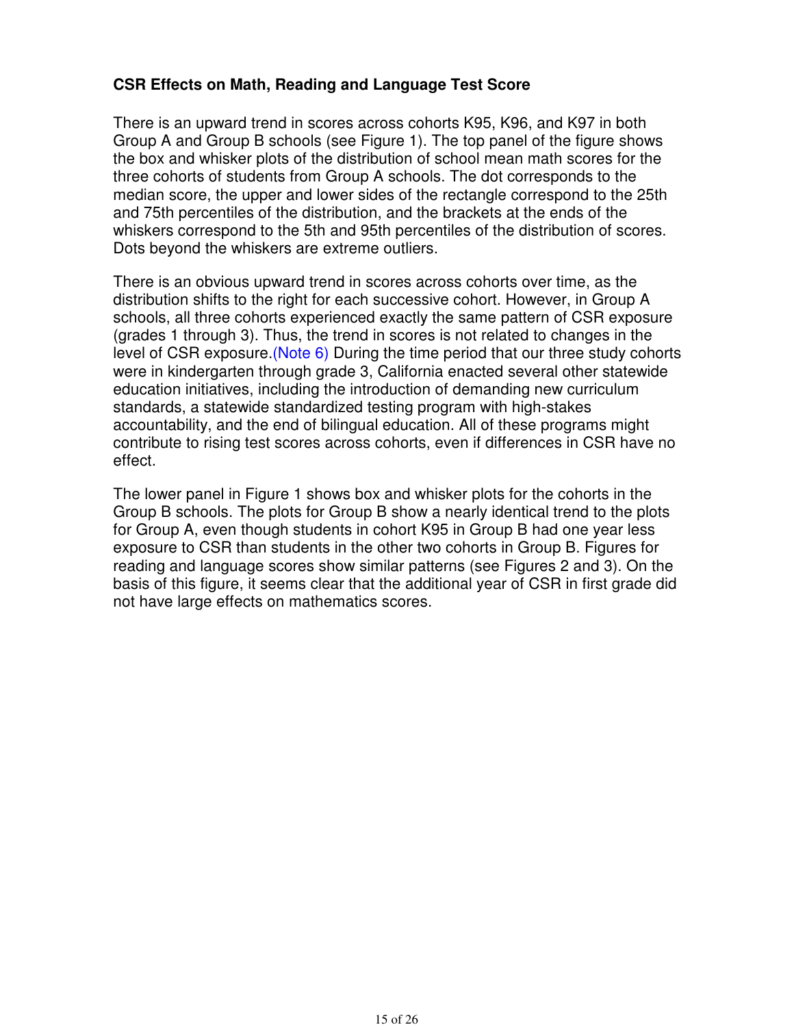## **CSR Effects on Math, Reading and Language Test Score**

There is an upward trend in scores across cohorts K95, K96, and K97 in both Group A and Group B schools (see Figure 1). The top panel of the figure shows the box and whisker plots of the distribution of school mean math scores for the three cohorts of students from Group A schools. The dot corresponds to the median score, the upper and lower sides of the rectangle correspond to the 25th and 75th percentiles of the distribution, and the brackets at the ends of the whiskers correspond to the 5th and 95th percentiles of the distribution of scores. Dots beyond the whiskers are extreme outliers.

There is an obvious upward trend in scores across cohorts over time, as the distribution shifts to the right for each successive cohort. However, in Group A schools, all three cohorts experienced exactly the same pattern of CSR exposure (grades 1 through 3). Thus, the trend in scores is not related to changes in the level of CSR exposure.(Note 6) During the time period that our three study cohorts were in kindergarten through grade 3, California enacted several other statewide education initiatives, including the introduction of demanding new curriculum standards, a statewide standardized testing program with high-stakes accountability, and the end of bilingual education. All of these programs might contribute to rising test scores across cohorts, even if differences in CSR have no effect.

The lower panel in Figure 1 shows box and whisker plots for the cohorts in the Group B schools. The plots for Group B show a nearly identical trend to the plots for Group A, even though students in cohort K95 in Group B had one year less exposure to CSR than students in the other two cohorts in Group B. Figures for reading and language scores show similar patterns (see Figures 2 and 3). On the basis of this figure, it seems clear that the additional year of CSR in first grade did not have large effects on mathematics scores.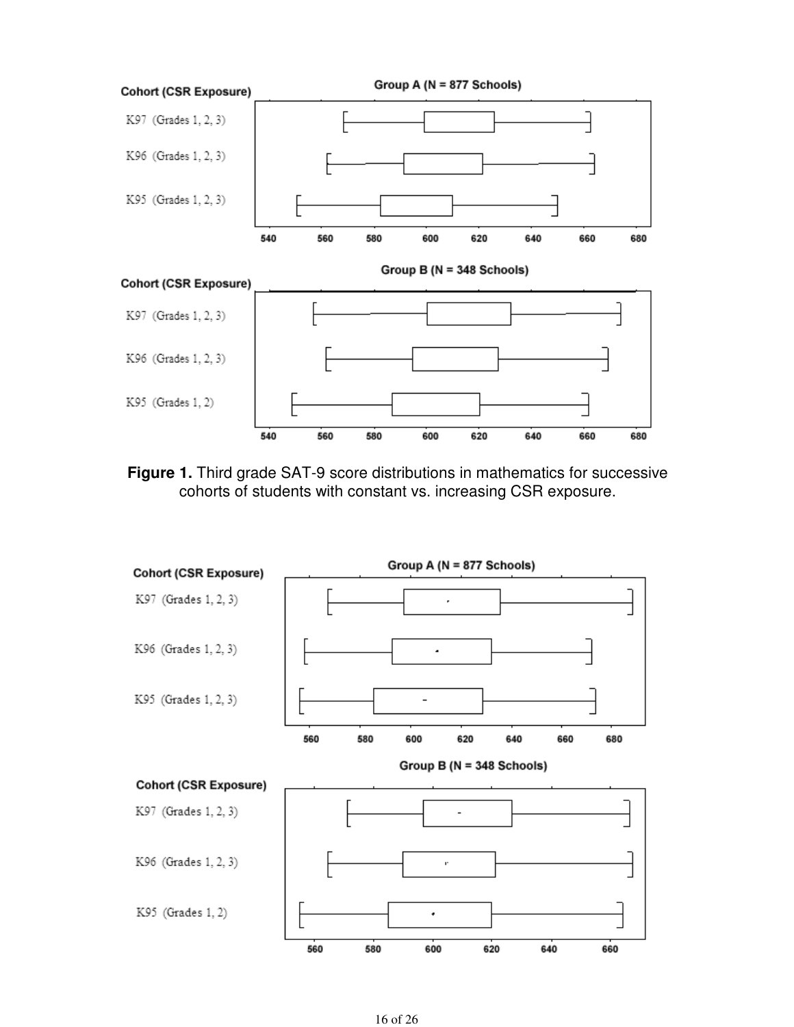

**Figure 1.** Third grade SAT-9 score distributions in mathematics for successive cohorts of students with constant vs. increasing CSR exposure.

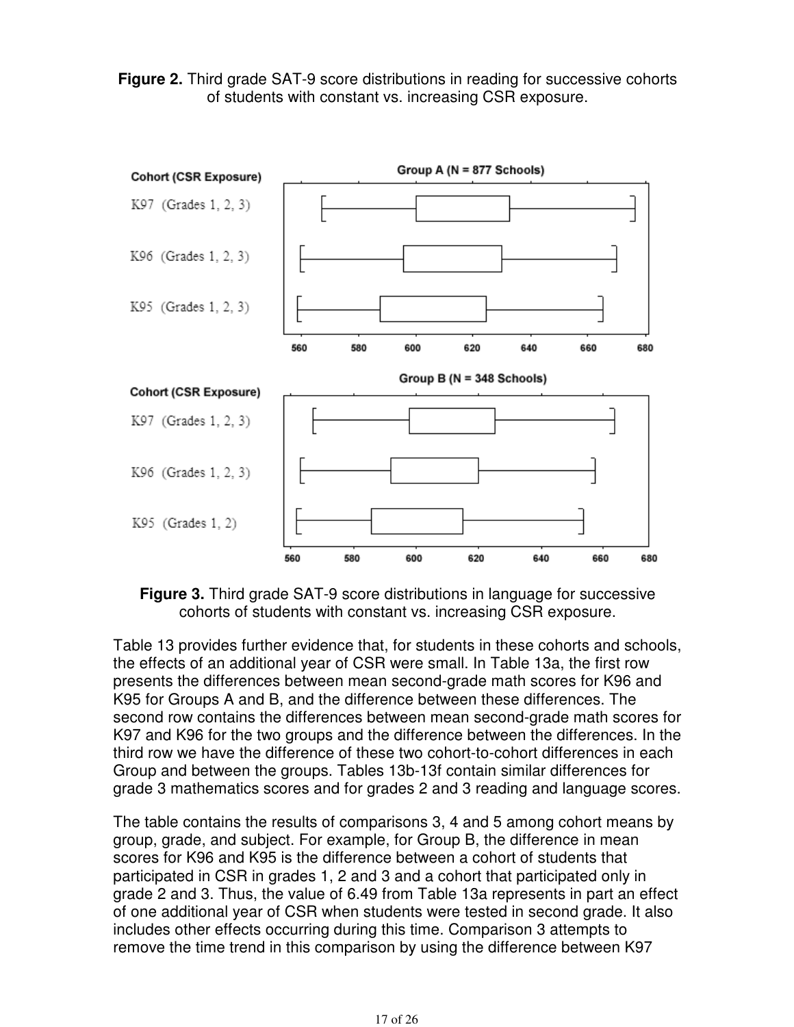**Figure 2.** Third grade SAT-9 score distributions in reading for successive cohorts of students with constant vs. increasing CSR exposure.



**Figure 3.** Third grade SAT-9 score distributions in language for successive cohorts of students with constant vs. increasing CSR exposure.

Table 13 provides further evidence that, for students in these cohorts and schools, the effects of an additional year of CSR were small. In Table 13a, the first row presents the differences between mean second-grade math scores for K96 and K95 for Groups A and B, and the difference between these differences. The second row contains the differences between mean second-grade math scores for K97 and K96 for the two groups and the difference between the differences. In the third row we have the difference of these two cohort-to-cohort differences in each Group and between the groups. Tables 13b-13f contain similar differences for grade 3 mathematics scores and for grades 2 and 3 reading and language scores.

The table contains the results of comparisons 3, 4 and 5 among cohort means by group, grade, and subject. For example, for Group B, the difference in mean scores for K96 and K95 is the difference between a cohort of students that participated in CSR in grades 1, 2 and 3 and a cohort that participated only in grade 2 and 3. Thus, the value of 6.49 from Table 13a represents in part an effect of one additional year of CSR when students were tested in second grade. It also includes other effects occurring during this time. Comparison 3 attempts to remove the time trend in this comparison by using the difference between K97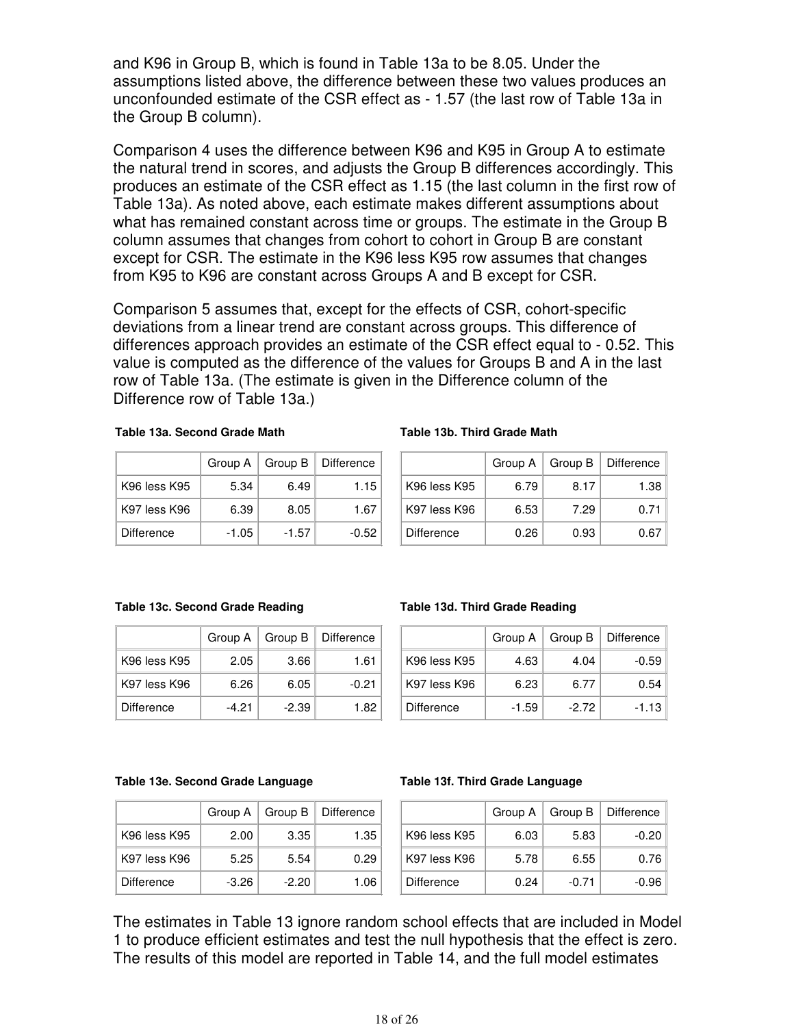and K96 in Group B, which is found in Table 13a to be 8.05. Under the assumptions listed above, the difference between these two values produces an unconfounded estimate of the CSR effect as - 1.57 (the last row of Table 13a in the Group B column).

Comparison 4 uses the difference between K96 and K95 in Group A to estimate the natural trend in scores, and adjusts the Group B differences accordingly. This produces an estimate of the CSR effect as 1.15 (the last column in the first row of Table 13a). As noted above, each estimate makes different assumptions about what has remained constant across time or groups. The estimate in the Group B column assumes that changes from cohort to cohort in Group B are constant except for CSR. The estimate in the K96 less K95 row assumes that changes from K95 to K96 are constant across Groups A and B except for CSR.

Comparison 5 assumes that, except for the effects of CSR, cohort-specific deviations from a linear trend are constant across groups. This difference of differences approach provides an estimate of the CSR effect equal to - 0.52. This value is computed as the difference of the values for Groups B and A in the last row of Table 13a. (The estimate is given in the Difference column of the Difference row of Table 13a.)

#### **Table 13a. Second Grade Math**

|              | Group A | Group B | <b>Difference</b> |
|--------------|---------|---------|-------------------|
| K96 less K95 | 5.34    | 6.49    | 1.15              |
| K97 less K96 | 6.39    | 8.05    | 1.67              |
| Difference   | -1.05   | $-1.57$ | -0.52             |

#### **Table 13b. Third Grade Math**

|              |      | Group $A \mid$ Group $B \mid$ | Difference |
|--------------|------|-------------------------------|------------|
| K96 less K95 | 6.79 | 8.17                          | 1.38       |
| K97 less K96 | 6.53 | 7.29                          | 0.71       |
| Difference   | 0.26 | 0.93                          | 0.67       |

#### **Table 13c. Second Grade Reading**

|                   |         |       | Group $A \mid$ Group $B \mid$ Difference |
|-------------------|---------|-------|------------------------------------------|
| K96 less K95      | 2.05    | 3.66  | 1.61                                     |
| K97 less K96      | 6.26    | 6.05  | $-0.21$                                  |
| <b>Difference</b> | $-4.21$ | -2.39 | 1.82                                     |

#### **Table 13d. Third Grade Reading**

|              | Group A |         | Group B   Difference |
|--------------|---------|---------|----------------------|
| K96 less K95 | 4.63    | 4.04    | -0.59                |
| K97 less K96 | 6.23    | 6.77    | 0.54                 |
| Difference   | -1.59   | $-2.72$ | -1.13                |

#### **Table 13e. Second Grade Language**

|              |       |         | Group A   Group B   Difference |
|--------------|-------|---------|--------------------------------|
| K96 less K95 | 2.00  | 3.35    | 1.35                           |
| K97 less K96 | 5.25  | 5.54    | 0.29                           |
| Difference   | -3.26 | $-2.20$ | 1.06                           |

#### **Table 13f. Third Grade Language**

|              |      |         | Group $A \mid$ Group $B \mid$ Difference |
|--------------|------|---------|------------------------------------------|
| K96 less K95 | 6.03 | 5.83    | $-0.20$                                  |
| K97 less K96 | 5.78 | 6.55    | 0.76                                     |
| Difference   | 0.24 | $-0.71$ | $-0.96$                                  |

The estimates in Table 13 ignore random school effects that are included in Model 1 to produce efficient estimates and test the null hypothesis that the effect is zero. The results of this model are reported in Table 14, and the full model estimates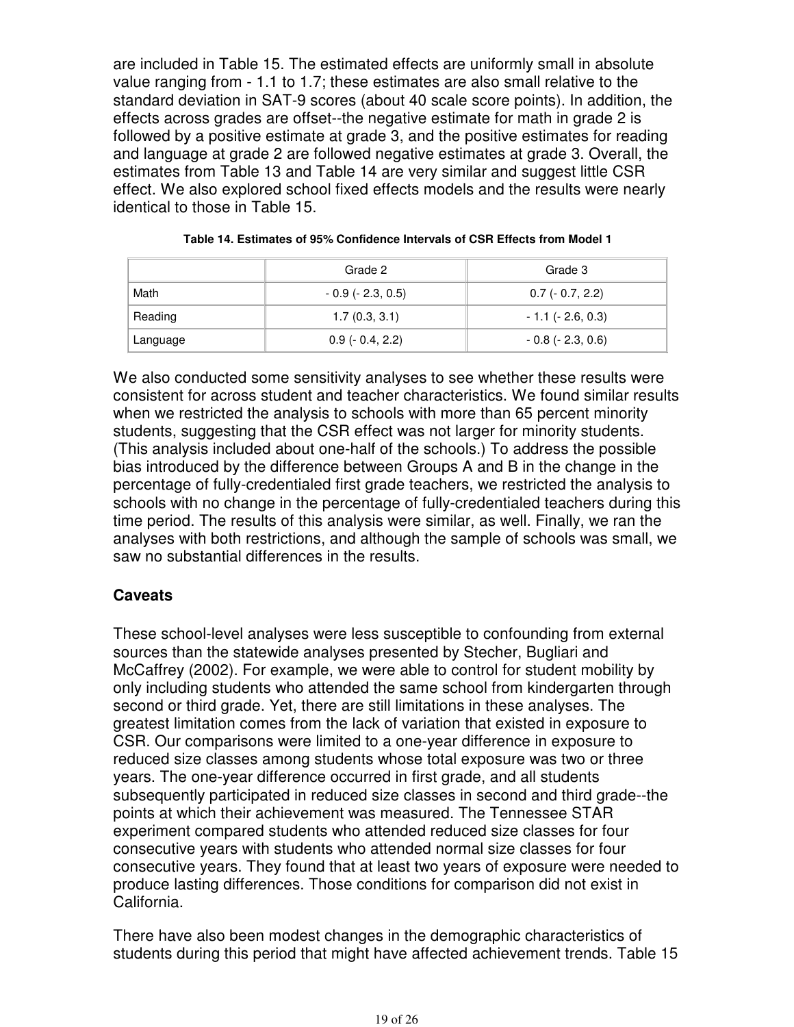are included in Table 15. The estimated effects are uniformly small in absolute value ranging from - 1.1 to 1.7; these estimates are also small relative to the standard deviation in SAT-9 scores (about 40 scale score points). In addition, the effects across grades are offset--the negative estimate for math in grade 2 is followed by a positive estimate at grade 3, and the positive estimates for reading and language at grade 2 are followed negative estimates at grade 3. Overall, the estimates from Table 13 and Table 14 are very similar and suggest little CSR effect. We also explored school fixed effects models and the results were nearly identical to those in Table 15.

|          | Grade 2                | Grade 3                |  |  |
|----------|------------------------|------------------------|--|--|
| Math     | $-0.9$ ( $-2.3, 0.5$ ) | $0.7$ (- 0.7, 2.2)     |  |  |
| Reading  | 1.7(0.3, 3.1)          | $-1.1$ ( $-2.6, 0.3$ ) |  |  |
| Language | $0.9(-0.4, 2.2)$       | $-0.8$ ( $-2.3, 0.6$ ) |  |  |

|  |  | Table 14. Estimates of 95% Confidence Intervals of CSR Effects from Model 1 |  |  |  |
|--|--|-----------------------------------------------------------------------------|--|--|--|
|  |  |                                                                             |  |  |  |

We also conducted some sensitivity analyses to see whether these results were consistent for across student and teacher characteristics. We found similar results when we restricted the analysis to schools with more than 65 percent minority students, suggesting that the CSR effect was not larger for minority students. (This analysis included about one-half of the schools.) To address the possible bias introduced by the difference between Groups A and B in the change in the percentage of fully-credentialed first grade teachers, we restricted the analysis to schools with no change in the percentage of fully-credentialed teachers during this time period. The results of this analysis were similar, as well. Finally, we ran the analyses with both restrictions, and although the sample of schools was small, we saw no substantial differences in the results.

## **Caveats**

These school-level analyses were less susceptible to confounding from external sources than the statewide analyses presented by Stecher, Bugliari and McCaffrey (2002). For example, we were able to control for student mobility by only including students who attended the same school from kindergarten through second or third grade. Yet, there are still limitations in these analyses. The greatest limitation comes from the lack of variation that existed in exposure to CSR. Our comparisons were limited to a one-year difference in exposure to reduced size classes among students whose total exposure was two or three years. The one-year difference occurred in first grade, and all students subsequently participated in reduced size classes in second and third grade--the points at which their achievement was measured. The Tennessee STAR experiment compared students who attended reduced size classes for four consecutive years with students who attended normal size classes for four consecutive years. They found that at least two years of exposure were needed to produce lasting differences. Those conditions for comparison did not exist in California.

There have also been modest changes in the demographic characteristics of students during this period that might have affected achievement trends. Table 15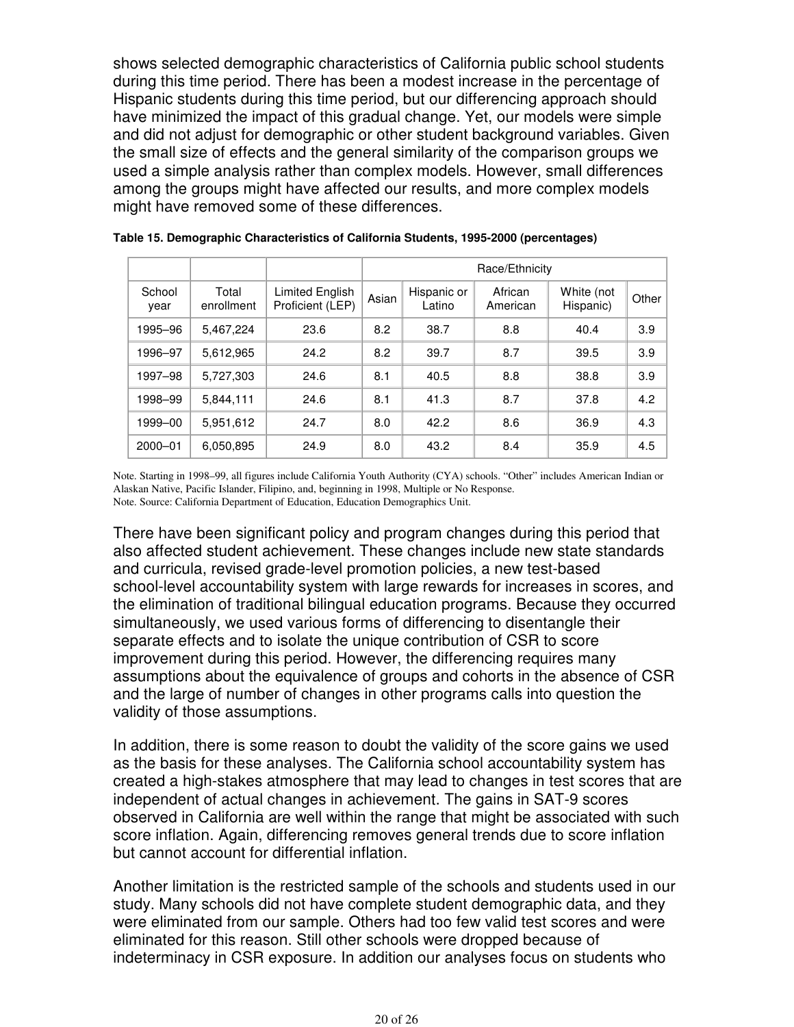shows selected demographic characteristics of California public school students during this time period. There has been a modest increase in the percentage of Hispanic students during this time period, but our differencing approach should have minimized the impact of this gradual change. Yet, our models were simple and did not adjust for demographic or other student background variables. Given the small size of effects and the general similarity of the comparison groups we used a simple analysis rather than complex models. However, small differences among the groups might have affected our results, and more complex models might have removed some of these differences.

|                |                     |                                     | Race/Ethnicity |                       |                     |                         |       |
|----------------|---------------------|-------------------------------------|----------------|-----------------------|---------------------|-------------------------|-------|
| School<br>year | Total<br>enrollment | Limited English<br>Proficient (LEP) | Asian          | Hispanic or<br>Latino | African<br>American | White (not<br>Hispanic) | Other |
| 1995-96        | 5.467.224           | 23.6                                | 8.2            | 38.7                  | 8.8                 | 40.4                    | 3.9   |
| 1996–97        | 5,612,965           | 24.2                                | 8.2            | 39.7                  | 8.7                 | 39.5                    | 3.9   |
| 1997-98        | 5,727,303           | 24.6                                | 8.1            | 40.5                  | 8.8                 | 38.8                    | 3.9   |
| 1998–99        | 5.844.111           | 24.6                                | 8.1            | 41.3                  | 8.7                 | 37.8                    | 4.2   |
| 1999-00        | 5,951,612           | 24.7                                | 8.0            | 42.2                  | 8.6                 | 36.9                    | 4.3   |
| $2000 - 01$    | 6,050,895           | 24.9                                | 8.0            | 43.2                  | 8.4                 | 35.9                    | 4.5   |

**Table 15. Demographic Characteristics of California Students, 1995-2000 (percentages)**

Note. Starting in 1998–99, all figures include California Youth Authority (CYA) schools. "Other" includes American Indian or Alaskan Native, Pacific Islander, Filipino, and, beginning in 1998, Multiple or No Response. Note. Source: California Department of Education, Education Demographics Unit.

There have been significant policy and program changes during this period that also affected student achievement. These changes include new state standards and curricula, revised grade-level promotion policies, a new test-based school-level accountability system with large rewards for increases in scores, and the elimination of traditional bilingual education programs. Because they occurred simultaneously, we used various forms of differencing to disentangle their separate effects and to isolate the unique contribution of CSR to score improvement during this period. However, the differencing requires many assumptions about the equivalence of groups and cohorts in the absence of CSR and the large of number of changes in other programs calls into question the validity of those assumptions.

In addition, there is some reason to doubt the validity of the score gains we used as the basis for these analyses. The California school accountability system has created a high-stakes atmosphere that may lead to changes in test scores that are independent of actual changes in achievement. The gains in SAT-9 scores observed in California are well within the range that might be associated with such score inflation. Again, differencing removes general trends due to score inflation but cannot account for differential inflation.

Another limitation is the restricted sample of the schools and students used in our study. Many schools did not have complete student demographic data, and they were eliminated from our sample. Others had too few valid test scores and were eliminated for this reason. Still other schools were dropped because of indeterminacy in CSR exposure. In addition our analyses focus on students who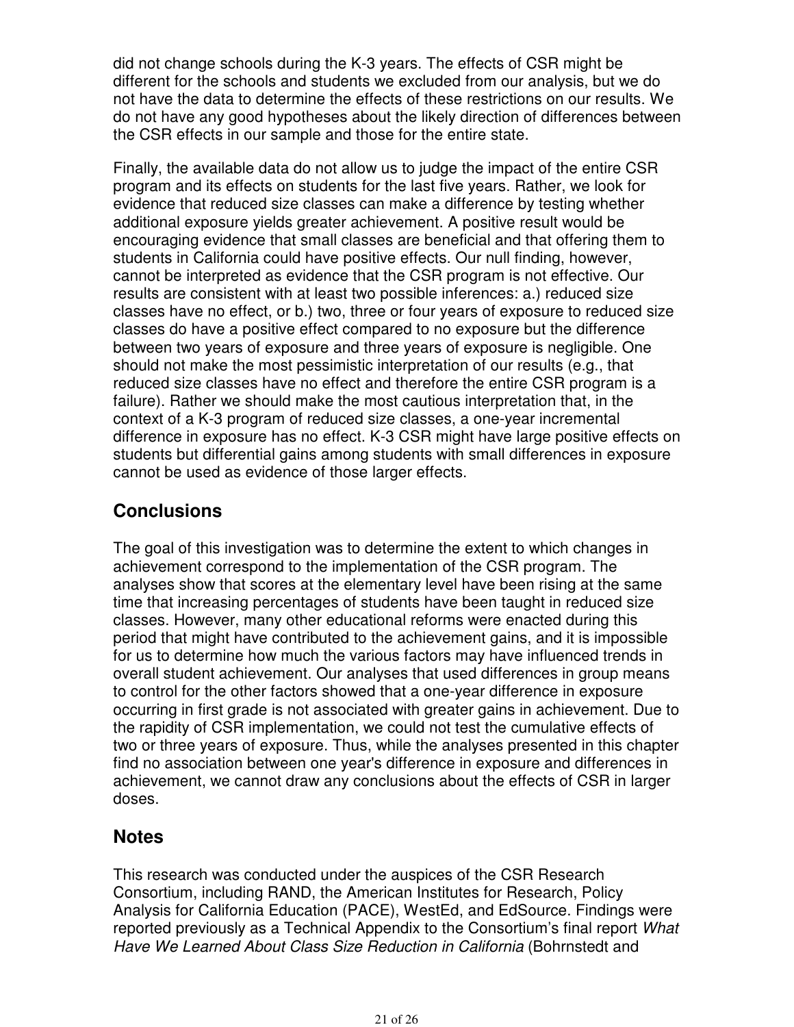did not change schools during the K-3 years. The effects of CSR might be different for the schools and students we excluded from our analysis, but we do not have the data to determine the effects of these restrictions on our results. We do not have any good hypotheses about the likely direction of differences between the CSR effects in our sample and those for the entire state.

Finally, the available data do not allow us to judge the impact of the entire CSR program and its effects on students for the last five years. Rather, we look for evidence that reduced size classes can make a difference by testing whether additional exposure yields greater achievement. A positive result would be encouraging evidence that small classes are beneficial and that offering them to students in California could have positive effects. Our null finding, however, cannot be interpreted as evidence that the CSR program is not effective. Our results are consistent with at least two possible inferences: a.) reduced size classes have no effect, or b.) two, three or four years of exposure to reduced size classes do have a positive effect compared to no exposure but the difference between two years of exposure and three years of exposure is negligible. One should not make the most pessimistic interpretation of our results (e.g., that reduced size classes have no effect and therefore the entire CSR program is a failure). Rather we should make the most cautious interpretation that, in the context of a K-3 program of reduced size classes, a one-year incremental difference in exposure has no effect. K-3 CSR might have large positive effects on students but differential gains among students with small differences in exposure cannot be used as evidence of those larger effects.

# **Conclusions**

The goal of this investigation was to determine the extent to which changes in achievement correspond to the implementation of the CSR program. The analyses show that scores at the elementary level have been rising at the same time that increasing percentages of students have been taught in reduced size classes. However, many other educational reforms were enacted during this period that might have contributed to the achievement gains, and it is impossible for us to determine how much the various factors may have influenced trends in overall student achievement. Our analyses that used differences in group means to control for the other factors showed that a one-year difference in exposure occurring in first grade is not associated with greater gains in achievement. Due to the rapidity of CSR implementation, we could not test the cumulative effects of two or three years of exposure. Thus, while the analyses presented in this chapter find no association between one year's difference in exposure and differences in achievement, we cannot draw any conclusions about the effects of CSR in larger doses.

# **Notes**

This research was conducted under the auspices of the CSR Research Consortium, including RAND, the American Institutes for Research, Policy Analysis for California Education (PACE), WestEd, and EdSource. Findings were reported previously as a Technical Appendix to the Consortium's final report What Have We Learned About Class Size Reduction in California (Bohrnstedt and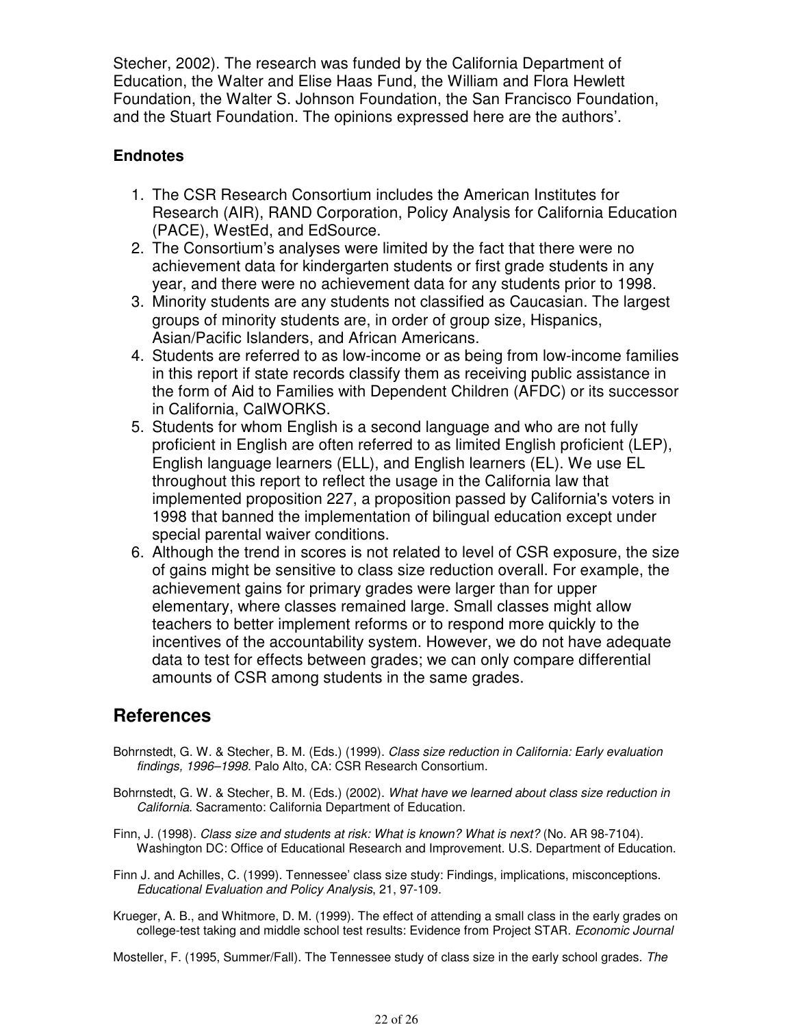Stecher, 2002). The research was funded by the California Department of Education, the Walter and Elise Haas Fund, the William and Flora Hewlett Foundation, the Walter S. Johnson Foundation, the San Francisco Foundation, and the Stuart Foundation. The opinions expressed here are the authors'.

## **Endnotes**

- 1. The CSR Research Consortium includes the American Institutes for Research (AIR), RAND Corporation, Policy Analysis for California Education (PACE), WestEd, and EdSource.
- The Consortium's analyses were limited by the fact that there were no 2. achievement data for kindergarten students or first grade students in any year, and there were no achievement data for any students prior to 1998.
- Minority students are any students not classified as Caucasian. The largest 3. groups of minority students are, in order of group size, Hispanics, Asian/Pacific Islanders, and African Americans.
- Students are referred to as low-income or as being from low-income families 4. in this report if state records classify them as receiving public assistance in the form of Aid to Families with Dependent Children (AFDC) or its successor in California, CalWORKS.
- 5. Students for whom English is a second language and who are not fully proficient in English are often referred to as limited English proficient (LEP), English language learners (ELL), and English learners (EL). We use EL throughout this report to reflect the usage in the California law that implemented proposition 227, a proposition passed by California's voters in 1998 that banned the implementation of bilingual education except under special parental waiver conditions.
- Although the trend in scores is not related to level of CSR exposure, the size 6. of gains might be sensitive to class size reduction overall. For example, the achievement gains for primary grades were larger than for upper elementary, where classes remained large. Small classes might allow teachers to better implement reforms or to respond more quickly to the incentives of the accountability system. However, we do not have adequate data to test for effects between grades; we can only compare differential amounts of CSR among students in the same grades.

# **References**

- Bohrnstedt, G. W. & Stecher, B. M. (Eds.) (1999). Class size reduction in California: Early evaluation findings, 1996–1998. Palo Alto, CA: CSR Research Consortium.
- Bohrnstedt, G. W. & Stecher, B. M. (Eds.) (2002). What have we learned about class size reduction in California. Sacramento: California Department of Education.
- Finn, J. (1998). Class size and students at risk: What is known? What is next? (No. AR 98-7104). Washington DC: Office of Educational Research and Improvement. U.S. Department of Education.
- Finn J. and Achilles, C. (1999). Tennessee' class size study: Findings, implications, misconceptions. Educational Evaluation and Policy Analysis, 21, 97-109.
- Krueger, A. B., and Whitmore, D. M. (1999). The effect of attending a small class in the early grades on college-test taking and middle school test results: Evidence from Project STAR. Economic Journal

Mosteller, F. (1995, Summer/Fall). The Tennessee study of class size in the early school grades. The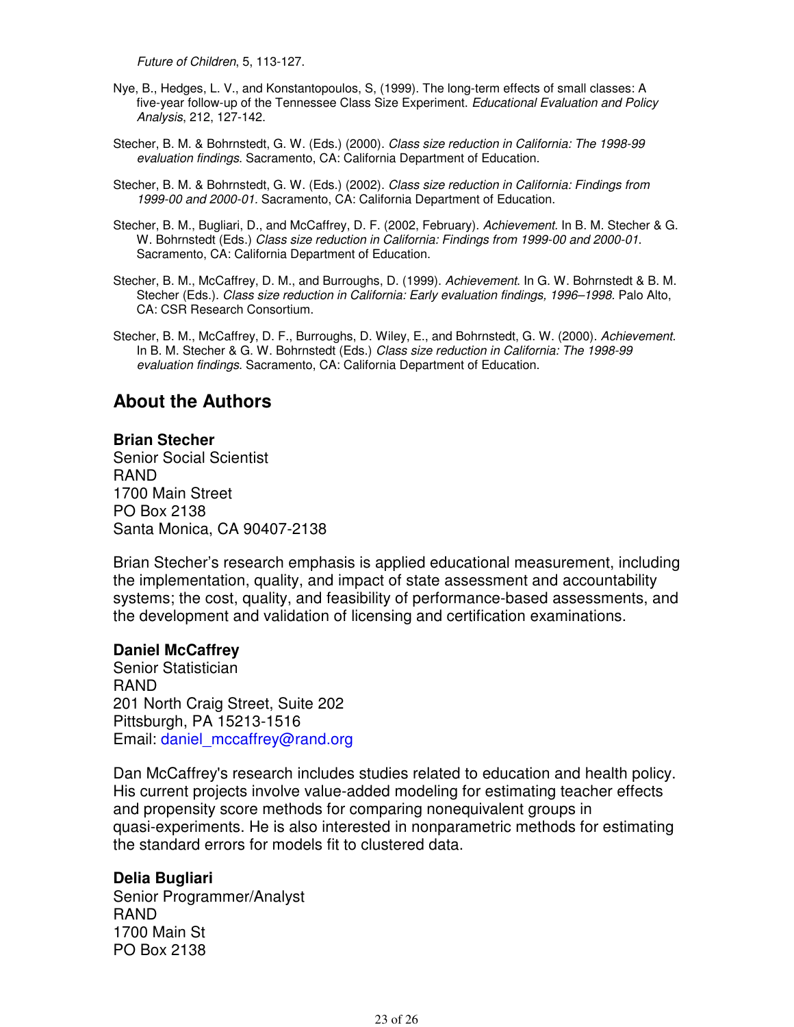Future of Children, 5, 113-127.

- Nye, B., Hedges, L. V., and Konstantopoulos, S, (1999). The long-term effects of small classes: A five-year follow-up of the Tennessee Class Size Experiment. Educational Evaluation and Policy Analysis, 212, 127-142.
- Stecher, B. M. & Bohrnstedt, G. W. (Eds.) (2000). Class size reduction in California: The 1998-99 evaluation findings. Sacramento, CA: California Department of Education.
- Stecher, B. M. & Bohrnstedt, G. W. (Eds.) (2002). Class size reduction in California: Findings from 1999-00 and 2000-01. Sacramento, CA: California Department of Education.
- Stecher, B. M., Bugliari, D., and McCaffrey, D. F. (2002, February). Achievement. In B. M. Stecher & G. W. Bohrnstedt (Eds.) Class size reduction in California: Findings from 1999-00 and 2000-01. Sacramento, CA: California Department of Education.
- Stecher, B. M., McCaffrey, D. M., and Burroughs, D. (1999). Achievement. In G. W. Bohrnstedt & B. M. Stecher (Eds.). Class size reduction in California: Early evaluation findings, 1996–1998. Palo Alto, CA: CSR Research Consortium.
- Stecher, B. M., McCaffrey, D. F., Burroughs, D. Wiley, E., and Bohrnstedt, G. W. (2000). Achievement. In B. M. Stecher & G. W. Bohrnstedt (Eds.) Class size reduction in California: The 1998-99 evaluation findings. Sacramento, CA: California Department of Education.

# **About the Authors**

## **Brian Stecher**

Senior Social Scientist RAND 1700 Main Street PO Box 2138 Santa Monica, CA 90407-2138

Brian Stecher's research emphasis is applied educational measurement, including the implementation, quality, and impact of state assessment and accountability systems; the cost, quality, and feasibility of performance-based assessments, and the development and validation of licensing and certification examinations.

## **Daniel McCaffrey**

Senior Statistician RAND 201 North Craig Street, Suite 202 Pittsburgh, PA 15213-1516 Email: daniel\_mccaffrey@rand.org

Dan McCaffrey's research includes studies related to education and health policy. His current projects involve value-added modeling for estimating teacher effects and propensity score methods for comparing nonequivalent groups in quasi-experiments. He is also interested in nonparametric methods for estimating the standard errors for models fit to clustered data.

## **Delia Bugliari**

Senior Programmer/Analyst RAND 1700 Main St PO Box 2138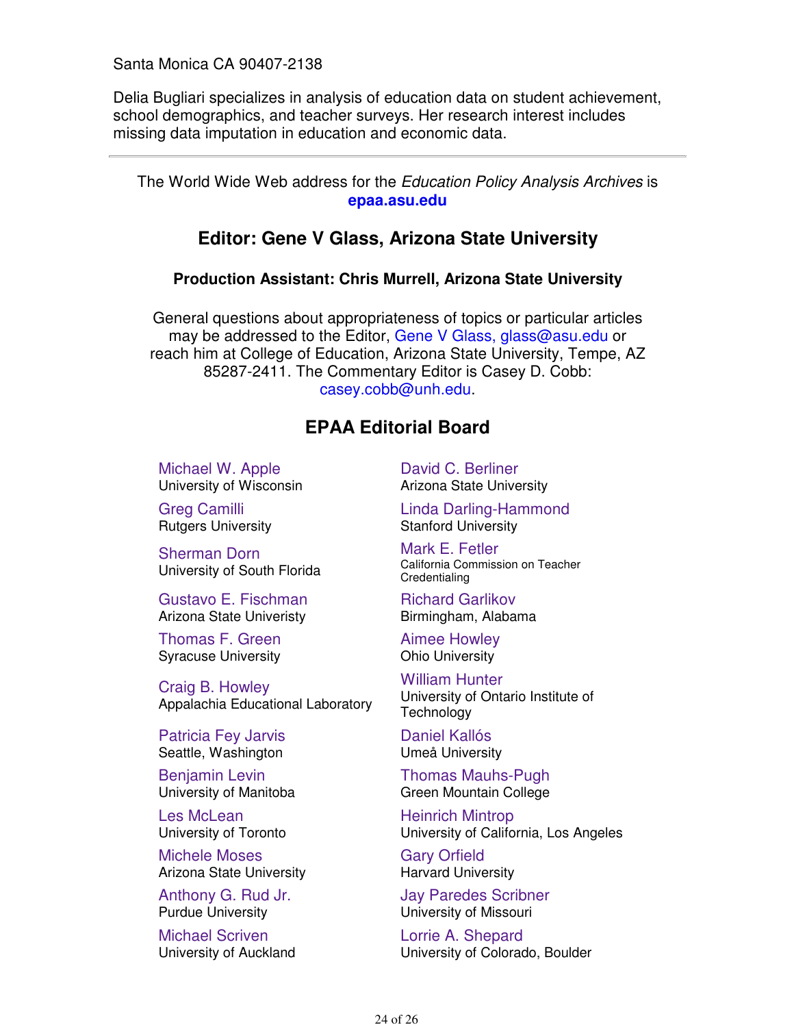Santa Monica CA 90407-2138

Delia Bugliari specializes in analysis of education data on student achievement, school demographics, and teacher surveys. Her research interest includes missing data imputation in education and economic data.

The World Wide Web address for the Education Policy Analysis Archives is **epaa.asu.edu**

# **Editor: Gene V Glass, Arizona State University**

## **Production Assistant: Chris Murrell, Arizona State University**

General questions about appropriateness of topics or particular articles may be addressed to the Editor, Gene V Glass, glass@asu.edu or reach him at College of Education, Arizona State University, Tempe, AZ 85287-2411. The Commentary Editor is Casey D. Cobb: casey.cobb@unh.edu.

# **EPAA Editorial Board**

Michael W. Apple University of Wisconsin

Greg Camilli Rutgers University

Sherman Dorn University of South Florida

Gustavo E. Fischman Arizona State Univeristy

Thomas F. Green Syracuse University

Craig B. Howley Appalachia Educational Laboratory

Patricia Fey Jarvis Seattle, Washington

Benjamin Levin University of Manitoba

Les McLean University of Toronto

Michele Moses Arizona State University

Anthony G. Rud Jr. Purdue University

Michael Scriven University of Auckland David C. Berliner Arizona State University

Linda Darling-Hammond Stanford University

Mark E. Fetler California Commission on Teacher **Credentialing** 

Richard Garlikov Birmingham, Alabama

Aimee Howley Ohio University

William Hunter University of Ontario Institute of **Technology** 

Daniel Kallós Umeå University

Thomas Mauhs-Pugh Green Mountain College

Heinrich Mintrop University of California, Los Angeles

Gary Orfield Harvard University

Jay Paredes Scribner University of Missouri

Lorrie A. Shepard University of Colorado, Boulder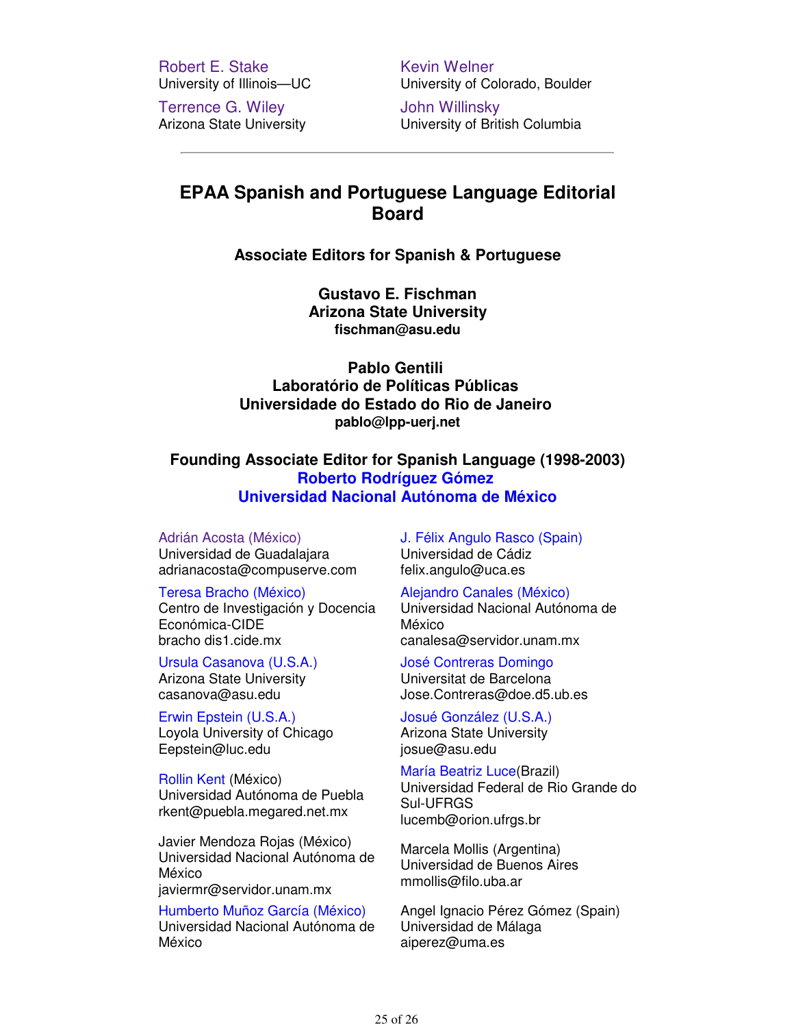Robert E. Stake University of Illinois—UC

Terrence G. Wiley Arizona State University Kevin Welner University of Colorado, Boulder

John Willinsky University of British Columbia

# **EPAA Spanish and Portuguese Language Editorial Board**

## **Associate Editors for Spanish & Portuguese**

**Gustavo E. Fischman Arizona State University fischman@asu.edu**

**Pablo Gentili Laboratório de Políticas Públicas Universidade do Estado do Rio de Janeiro pablo@lpp-uerj.net**

**Founding Associate Editor for Spanish Language (1998-2003) Roberto Rodríguez Gómez Universidad Nacional Autónoma de México**

Adrián Acosta (México)

Universidad de Guadalajara adrianacosta@compuserve.com

Teresa Bracho (México)

Centro de Investigación y Docencia Económica-CIDE bracho dis1.cide.mx

Ursula Casanova (U.S.A.) Arizona State University casanova@asu.edu

Erwin Epstein (U.S.A.) Loyola University of Chicago Eepstein@luc.edu

Rollin Kent (México) Universidad Autónoma de Puebla rkent@puebla.megared.net.mx

Javier Mendoza Rojas (México) Universidad Nacional Autónoma de México javiermr@servidor.unam.mx

Humberto Muñoz García (México) Universidad Nacional Autónoma de México

J. Félix Angulo Rasco (Spain) Universidad de Cádiz felix.angulo@uca.es

Alejandro Canales (México)

Universidad Nacional Autónoma de México canalesa@servidor.unam.mx

José Contreras Domingo Universitat de Barcelona Jose.Contreras@doe.d5.ub.es

Josué González (U.S.A.) Arizona State University josue@asu.edu

María Beatriz Luce(Brazil) Universidad Federal de Rio Grande do Sul-UFRGS lucemb@orion.ufrgs.br

Marcela Mollis (Argentina) Universidad de Buenos Aires mmollis@filo.uba.ar

Angel Ignacio Pérez Gómez (Spain) Universidad de Málaga aiperez@uma.es